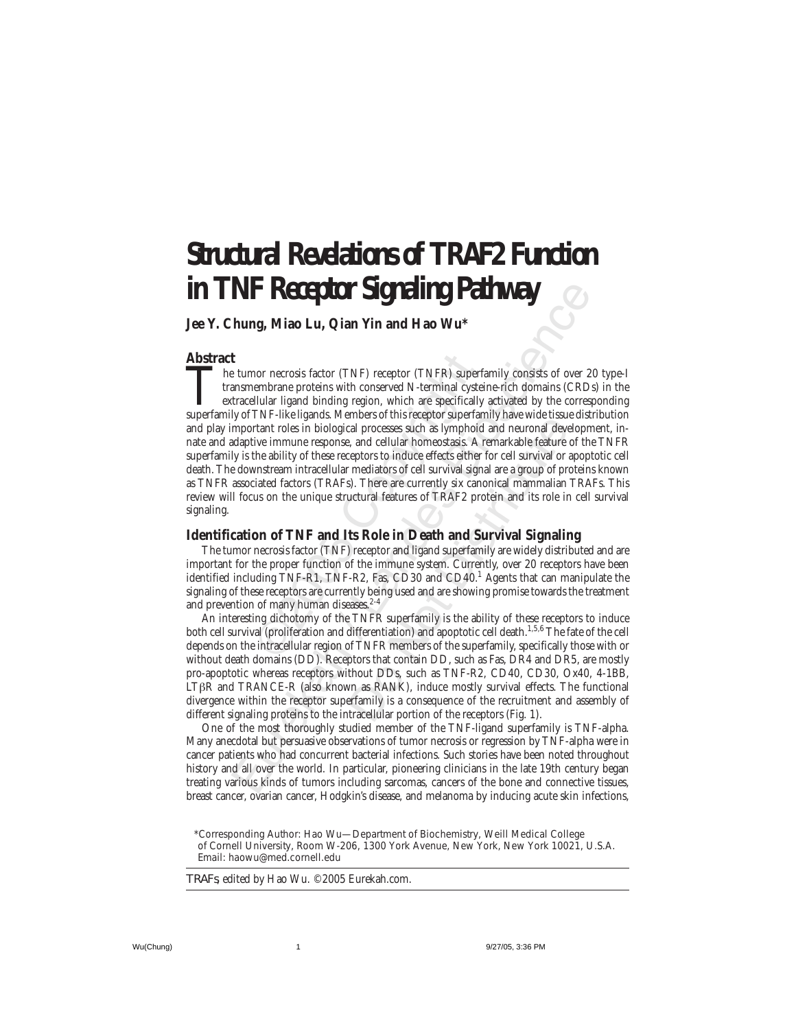# **Structural Revelations of TRAF2 Function in TNF Receptor Signaling Pathway**

**Jee Y. Chung, Miao Lu, Qian Yin and Hao Wu\***

### **Abstract**

nor necrosis factor (TNF) receptor (TNFR) supe<br>embrane proteins with conserved N-terminal cys<br>llular ligand binding region, which are specifical<br>TNF-like ligands. Members of this receptor superf<br>trant roles in biological p **NF Record of Sigmaling Pathway**<br> **NET Record Sigmaling Pathway**<br>
tumor necrosis factor (TNF) receptor (TNFP) superfamily consists of over 2<br>
tumor necrosis factor (TNF) receptor (TNFP) superfamily consists of over 2<br>
tum The tumor necrosis factor (TNF) receptor (TNFR) superfamily consists of over 20 type-I<br>transmembrane proteins with conserved N-terminal cysteine-rich domains (CRDs) in the<br>extracellular ligand binding region, which are spe transmembrane proteins with conserved N-terminal cysteine-rich domains (CRDs) in the extracellular ligand binding region, which are specifically activated by the corresponding superfamily of TNF-like ligands. Members of this receptor superfamily have wide tissue distribution and play important roles in biological processes such as lymphoid and neuronal development, innate and adaptive immune response, and cellular homeostasis. A remarkable feature of the TNFR superfamily is the ability of these receptors to induce effects either for cell survival or apoptotic cell death. The downstream intracellular mediators of cell survival signal are a group of proteins known as TNFR associated factors (TRAFs). There are currently six canonical mammalian TRAFs. This review will focus on the unique structural features of TRAF2 protein and its role in cell survival signaling.

## **Identification of TNF and Its Role in Death and Survival Signaling**

The tumor necrosis factor (TNF) receptor and ligand superfamily are widely distributed and are important for the proper function of the immune system. Currently, over 20 receptors have been identified including TNF-R1, TNF-R2, Fas, CD30 and CD40. $^1$  Agents that can manipulate the signaling of these receptors are currently being used and are showing promise towards the treatment and prevention of many human diseases.<sup>2-4</sup>

inders or unitally and meutomal and neuronal deve<br>cal processes such as lymphold and neuronal deve<br>expertors to induce effects either for cell survival or<br>creptors to induce effects either for cell survival or rediators of An interesting dichotomy of the TNFR superfamily is the ability of these receptors to induce both cell survival (proliferation and differentiation) and apoptotic cell death.<sup>1,5,6</sup> The fate of the cell depends on the intracellular region of TNFR members of the superfamily, specifically those with or without death domains (DD). Receptors that contain DD, such as Fas, DR4 and DR5, are mostly pro-apoptotic whereas receptors without DDs, such as TNF-R2, CD40, CD30, Ox40, 4-1BB, LTβR and TRANCE-R (also known as RANK), induce mostly survival effects. The functional divergence within the receptor superfamily is a consequence of the recruitment and assembly of different signaling proteins to the intracellular portion of the receptors (Fig. 1).

One of the most thoroughly studied member of the TNF-ligand superfamily is TNF-alpha. Many anecdotal but persuasive observations of tumor necrosis or regression by TNF-alpha were in cancer patients who had concurrent bacterial infections. Such stories have been noted throughout history and all over the world. In particular, pioneering clinicians in the late 19th century began treating various kinds of tumors including sarcomas, cancers of the bone and connective tissues, breast cancer, ovarian cancer, Hodgkin's disease, and melanoma by inducing acute skin infections,

*TRAFs*, edited by Hao Wu. ©2005 Eurekah.com.

<sup>\*</sup>Corresponding Author: Hao Wu—Department of Biochemistry, Weill Medical College of Cornell University, Room W-206, 1300 York Avenue, New York, New York 10021, U.S.A. Email: haowu@med.cornell.edu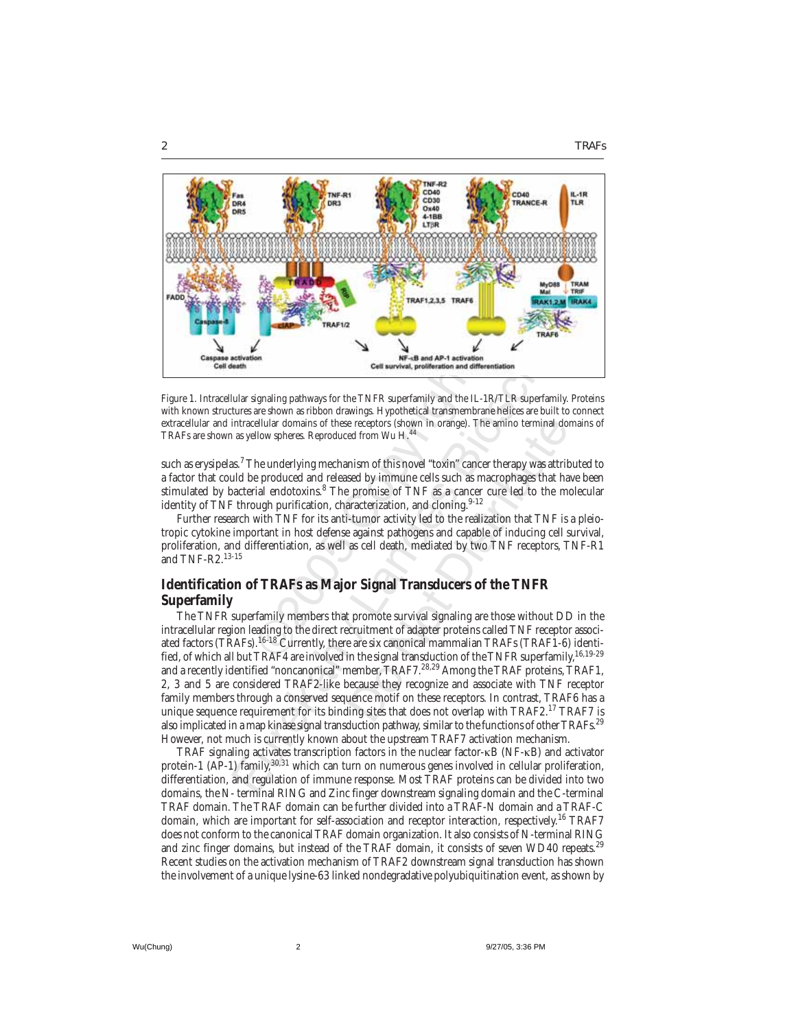



Figure 1. Intracellular signaling pathways for the TNFR superfamily and the IL-1R/TLR superfamily. Proteins with known structures are shown as ribbon drawings. Hypothetical transmembrane helices are built to connect extracellular and intracellular domains of these receptors (shown in orange). The amino terminal domains of TRAFs are shown as yellow spheres. Reproduced from Wu H.44

**Coll survival, proliferation and diversion and diversion and diversion and diversion and diversion and diversion and diversion and the Dare shown as ribbon drawings. Hypothetical transmembellular domains of these receptor** such as erysipelas. $^7$  The underlying mechanism of this novel "toxin" cancer therapy was attributed to a factor that could be produced and released by immune cells such as macrophages that have been stimulated by bacterial endotoxins.<sup>8</sup> The promise of TNF as a cancer cure led to the molecular identity of TNF through purification, characterization, and cloning.<sup>9-12</sup>

Further research with TNF for its anti-tumor activity led to the realization that TNF is a pleiotropic cytokine important in host defense against pathogens and capable of inducing cell survival, proliferation, and differentiation, as well as cell death, mediated by two TNF receptors, TNF-R1 and TNF-R2.13-15

# **Identification of TRAFs as Major Signal Transducers of the TNFR Superfamily**

Eure of the content of the TNFR and AP-1 and AP-1 and AP-1 and AP-1 and AP-1 and AP-1 and AP-1 and AP-1 and AP-1 and AP-1 and AP-1 and AP-1 and AP-1 and AP-1 and AP-1 and AP-1 and AP-1 and AP-1 and AP-1 and AP-1 and AP-1 e receptors (shown in orange). The amino terminal doord from Wu H.<sup>44</sup><br>nism of this novel "toxin" cancer therapy was attritived by immune cells such as macrophages that ha<br>promise of TNF as a cancer cure led to the maracte The TNFR superfamily members that promote survival signaling are those without DD in the intracellular region leading to the direct recruitment of adapter proteins called TNF receptor associated factors (TRAFs).<sup>16-18</sup> Currently, there are six canonical mammalian TRAFs (TRAF1-6) identified, of which all but TRAF4 are involved in the signal transduction of the TNFR superfamily, <sup>16,19-29</sup> and a recently identified "noncanonical" member, TRAF7.<sup>28,29</sup> Among the TRAF proteins, TRAF1, 2, 3 and 5 are considered TRAF2-like because they recognize and associate with TNF receptor family members through a conserved sequence motif on these receptors. In contrast, TRAF6 has a unique sequence requirement for its binding sites that does not overlap with TRAF2.<sup>17</sup> TRAF7 is also implicated in a map kinase signal transduction pathway, similar to the functions of other TRAFs.<sup>29</sup> However, not much is currently known about the upstream TRAF7 activation mechanism.

TRAF signaling activates transcription factors in the nuclear factor-κB (NF-κB) and activator protein-1 (AP-1) family,<sup>30,31</sup> which can turn on numerous genes involved in cellular proliferation, differentiation, and regulation of immune response. Most TRAF proteins can be divided into two domains, the N- terminal RING and Zinc finger downstream signaling domain and the C-terminal TRAF domain. The TRAF domain can be further divided into a TRAF-N domain and a TRAF-C domain, which are important for self-association and receptor interaction, respectively.<sup>16</sup> TRAF7 does not conform to the canonical TRAF domain organization. It also consists of N-terminal RING and zinc finger domains, but instead of the TRAF domain, it consists of seven WD40 repeats.<sup>29</sup> Recent studies on the activation mechanism of TRAF2 downstream signal transduction has shown the involvement of a unique lysine-63 linked nondegradative polyubiquitination event, as shown by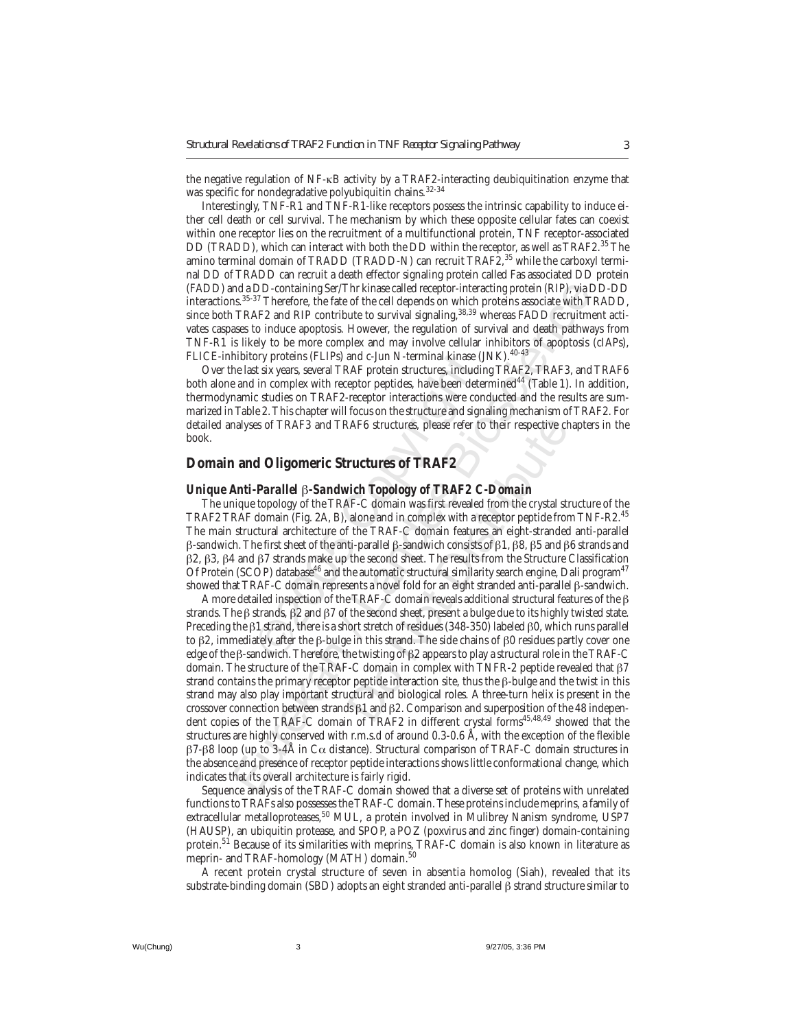the negative regulation of NF-κB activity by a TRAF2-interacting deubiquitination enzyme that was specific for nondegradative polyubiquitin chains.<sup>32-34</sup>

Interestingly, TNF-R1 and TNF-R1-like receptors possess the intrinsic capability to induce either cell death or cell survival. The mechanism by which these opposite cellular fates can coexist within one receptor lies on the recruitment of a multifunctional protein, TNF receptor-associated DD (TRADD), which can interact with both the DD within the receptor, as well as TRAF2.<sup>35</sup> The amino terminal domain of TRADD (TRADD-N) can recruit TRAF2,<sup>35</sup> while the carboxyl terminal DD of TRADD can recruit a death effector signaling protein called Fas associated DD protein (FADD) and a DD-containing Ser/Thr kinase called receptor-interacting protein (RIP), via DD-DD interactions.35-37 Therefore, the fate of the cell depends on which proteins associate with TRADD, since both TRAF2 and RIP contribute to survival signaling,<sup>38,39</sup> whereas FADD recruitment activates caspases to induce apoptosis. However, the regulation of survival and death pathways from TNF-R1 is likely to be more complex and may involve cellular inhibitors of apoptosis (cIAPs), FLICE-inhibitory proteins (FLIPs) and c-Jun N-terminal kinase (JNK).<sup>40-43</sup>

Over the last six years, several TRAF protein structures, including TRAF2, TRAF3, and TRAF6 both alone and in complex with receptor peptides, have been determined<sup>44</sup> (Table 1). In addition, thermodynamic studies on TRAF2-receptor interactions were conducted and the results are summarized in Table 2. This chapter will focus on the structure and signaling mechanism of TRAF2. For detailed analyses of TRAF3 and TRAF6 structures, please refer to their respective chapters in the book.

# **Domain and Oligomeric Structures of TRAF2**

#### *Unique Anti-Parallel* β*-Sandwich Topology of TRAF2 C-Domain*

ory proteins (FLIPs) and c-Jun N-terminal kinase<br>st six years, several TRAF protein structures, include<br>in complex with receptor peptides, have been de<br>c studies on TRAF2-receptor interactions were c<br>e 2. This chapter wil The unique topology of the TRAF-C domain was first revealed from the crystal structure of the TRAF2 TRAF domain (Fig. 2A, B), alone and in complex with a receptor peptide from TNF-R2.<sup>45</sup> The main structural architecture of the TRAF-C domain features an eight-stranded anti-parallel β-sandwich. The first sheet of the anti-parallel β-sandwich consists of β1, β8, β5 and β6 strands and β2, β3, β4 and β7 strands make up the second sheet. The results from the Structure Classification Of Protein (SCOP) database<sup>46</sup> and the automatic structural similarity search engine, Dali program<sup>47</sup> showed that TRAF-C domain represents a novel fold for an eight stranded anti-parallel β-sandwich.

d a DD-containing Ser/Thr kinase called receptor-interacting protein (RPP), via s<br>3.5<sup>35-37</sup> Therefore, the fact of the cell depends on which proteins associate with T<br>TRAF2 and RIP contribute to survival signaling.<sup>38.3</sup> RAF6 structures, please refer to their respective chencements of **TRAF2**<br>
vich *Topology of TRAF2 C-Domain*<br>
Vich *Topology of TRAF2 C-Domain*<br>
RF-C domain was first revealed from the crystal stratone and in complex with A more detailed inspection of the TRAF-C domain reveals additional structural features of the β strands. The β strands, β2 and β7 of the second sheet, present a bulge due to its highly twisted state. Preceding the β1 strand, there is a short stretch of residues (348-350) labeled β0, which runs parallel to β2, immediately after the β-bulge in this strand. The side chains of β0 residues partly cover one edge of the β-sandwich. Therefore, the twisting of β2 appears to play a structural role in the TRAF-C domain. The structure of the TRAF-C domain in complex with TNFR-2 peptide revealed that β7 strand contains the primary receptor peptide interaction site, thus the β-bulge and the twist in this strand may also play important structural and biological roles. A three-turn helix is present in the crossover connection between strands β1 and β2. Comparison and superposition of the 48 independent copies of the TRAF-C domain of TRAF2 in different crystal forms<sup>45,48,49</sup> showed that the structures are highly conserved with r.m.s.d of around 0.3-0.6 Å, with the exception of the flexible β7-β8 loop (up to 3-4Å in Cα distance). Structural comparison of TRAF-C domain structures in the absence and presence of receptor peptide interactions shows little conformational change, which indicates that its overall architecture is fairly rigid.

Sequence analysis of the TRAF-C domain showed that a diverse set of proteins with unrelated functions to TRAFs also possesses the TRAF-C domain. These proteins include meprins, a family of extracellular metalloproteases,<sup>50</sup> MUL, a protein involved in Mulibrey Nanism syndrome, USP7 (HAUSP), an ubiquitin protease, and SPOP, a POZ (poxvirus and zinc finger) domain-containing protein.51 Because of its similarities with meprins, TRAF-C domain is also known in literature as meprin- and TRAF-homology (MATH) domain.<sup>50</sup>

A recent protein crystal structure of seven in absentia homolog (Siah), revealed that its substrate-binding domain (SBD) adopts an eight stranded anti-parallel β strand structure similar to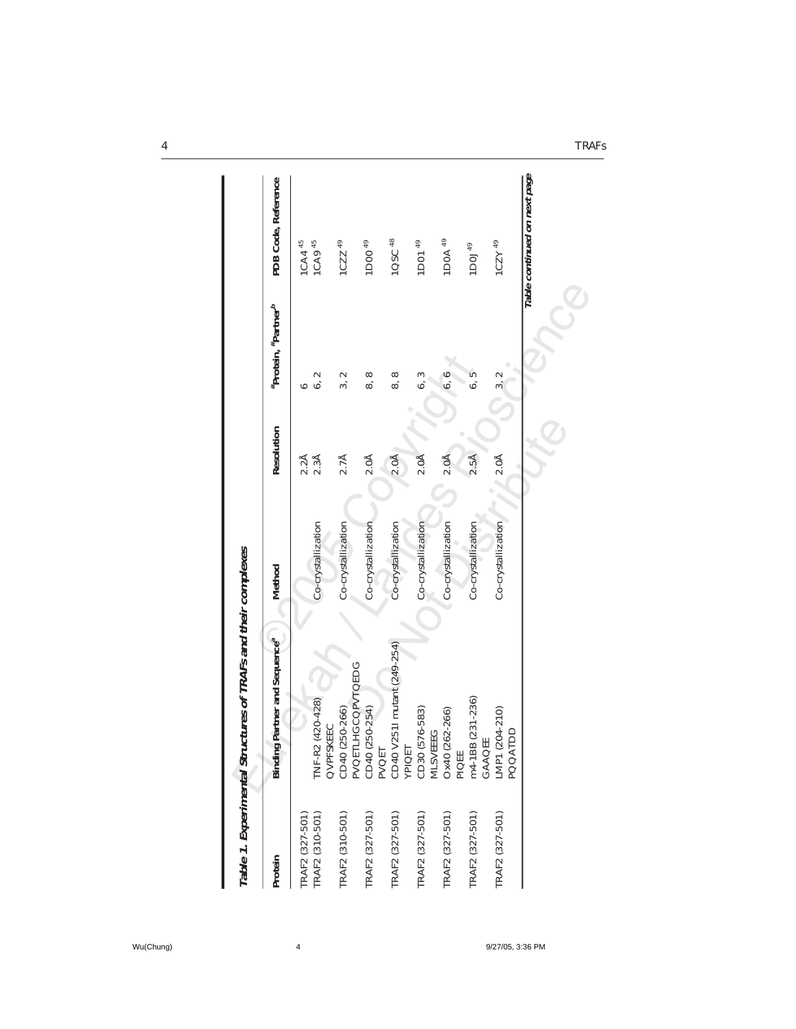| Protein         | Binding Partner and Sequence <sup>a</sup>                                                      | Method             | Resolution       | #Protein, #Partner <sup>b</sup> | PDB Code, Reference          |
|-----------------|------------------------------------------------------------------------------------------------|--------------------|------------------|---------------------------------|------------------------------|
| FRAF2 (327-501) |                                                                                                |                    |                  | ↶                               | 1CA4 <sup>45</sup>           |
| TRAF2 (310-501) | TNF-R2 (420-428)<br>QVPFSKEEC                                                                  | Co-crystallization | 2.2Å<br>2.3Å     | $\scriptstyle\sim$<br>ة.        | 1CA9 <sup>45</sup>           |
| FRAF2 (310-501) | CD40 (250-266)                                                                                 | Co-crystallization | 2.7 <sup>A</sup> | $\scriptstyle\sim$<br>ကဲ        | $1CZZ$ <sup>49</sup>         |
| TRAF2 (327-501) | PVOETLHGCOPVTOEDG<br>CD40 (250-254)<br>PVOET                                                   | Co-crystallization | 2.0 <sub>A</sub> | $\infty$<br>ထဲ                  | 1D00 <sup>49</sup>           |
| TRAF2 (327-501) |                                                                                                | Co-crystallization | 2.0 <sub>A</sub> | 8,8                             | 1QSC <sup>48</sup>           |
| [RAF2 (327-501) | CD40 V2511 mutant (249-254)<br>YPIQET<br>CD30 (576-583)<br>MLSVEEEG<br>Ox40 (262-266)<br>PIQEE | Co-crystallization | 2.0 <sub>A</sub> | 6, 3                            | 1D01 <sup>49</sup>           |
| FRAF2 (327-501) |                                                                                                | Co-crystallization | 2.0 <sub>A</sub> | 6, 6                            | 1DOA <sup>49</sup>           |
| TRAF2 (327-501) | m4-1BB (231-236)                                                                               | Co-crystallization | $2.5\text{\AA}$  | 6, 5                            | 1DOJ <sup>49</sup>           |
| TRAF2 (327-501) | $(204 - 210)$<br><b>ATDD</b><br>GAAQEE<br>LMP1 (204<br><b>POO4</b>                             | Co-crystallization | 2.0 <sup>A</sup> | 3, 2                            | $1CZY$ 49                    |
|                 |                                                                                                |                    |                  |                                 | Table continued on next page |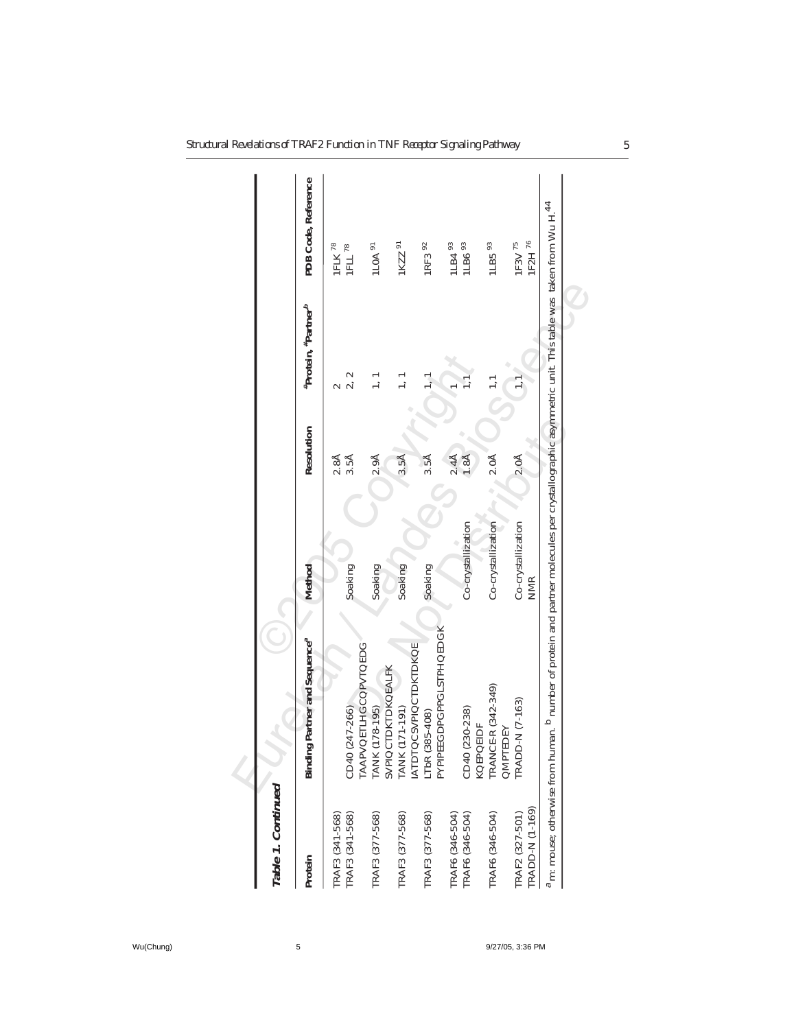| Table 1. Continued                 |                                                                                                                                               |                                  |                  |                                 |                      |
|------------------------------------|-----------------------------------------------------------------------------------------------------------------------------------------------|----------------------------------|------------------|---------------------------------|----------------------|
| Protein                            | Binding Partner and Sequence <sup>a</sup>                                                                                                     | Method                           | Resolution       | #Protein, #Partner <sup>b</sup> | PDB Code, Reference  |
| TRAF3 (341-568)                    |                                                                                                                                               |                                  | $2.8\text{\AA}$  |                                 | $1 \mathsf{FLK}$ 78  |
| TRAF3 (341-568)                    | <b>TAAPVOETLHGCOPVTOEDG</b><br>CD40 (247-266)                                                                                                 | Soaking                          | $3.5\text{\AA}$  | $\scriptstyle\sim$              | $1$ FLL $^{78}$      |
| TRAF3 (377-568)                    | TANK (178-195)<br>SVPIQCTDKTDKQEALFK<br>TANK (171-191)                                                                                        | Soaking                          | 2.9Å             | $\frac{1}{2}$                   | $1$ LOA $91$         |
| TRAF3 (377-568)                    | <b>ATDTOCSVPIOCTDKTDKOE</b>                                                                                                                   | Soaking                          | $3.5\text{\AA}$  |                                 | 1KZZ 91              |
| TRAF3 (377-568)                    | LTbR (385-408)<br>PYPIPEEGDPGPPGLSTPHQEDGK                                                                                                    | Soaking                          | $3.5\text{\AA}$  |                                 | 1RF3 92              |
| TRAF6 (346-504)                    |                                                                                                                                               |                                  | $2.4\text{\AA}$  |                                 | 1LB4 93              |
| TRAF6 (346-504)                    | CD40 (230-238)<br>KOEPOEIDF                                                                                                                   | Co-crystallization               | $1.8\AA$         |                                 | 1LB6 93              |
| TRAF6 (346-504)                    | <b>FRANCE-R (342-349)</b><br>QMPTEDEY                                                                                                         | Co-crystallization               | 2.0 <sup>A</sup> |                                 | $1$ LB5 $93$         |
| TRADD-N (1-169)<br>TRAF2 (327-501) | $D-N$ (7-163)<br>TRADI                                                                                                                        | Co-crystallization<br><b>NMR</b> | 2.0 <sub>A</sub> |                                 | 1F2H 76<br>$1E3V$ 75 |
| m: mouse; otherwise from hu        | man. <sup>b</sup> number of protein and partner molecules per crystallographic asymmetric unit. This table was taken from Wu H. <sup>44</sup> |                                  |                  |                                 |                      |
|                                    |                                                                                                                                               |                                  |                  |                                 |                      |

Wu(Chung) 5 5 9/27/05, 3:36 PM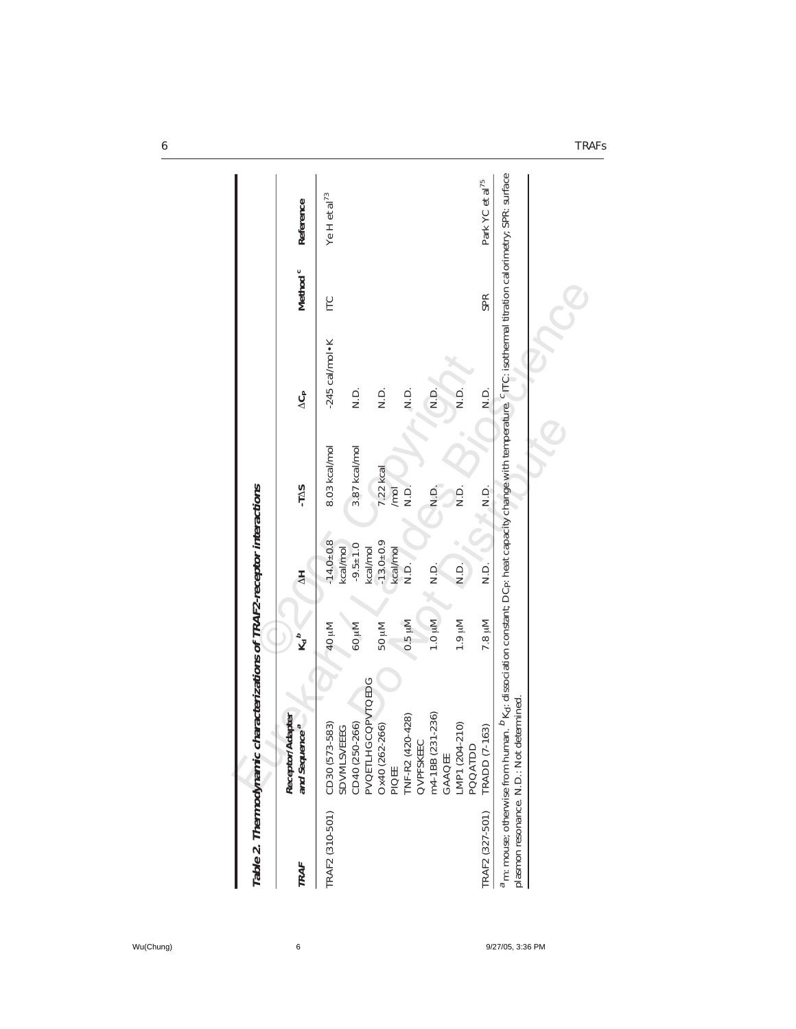| Table 2. Thermodynamic | characterizations of TRAF2-receptor interactions                                                                                                                                                                                             |                   |                             |               |                          |                     |                             |
|------------------------|----------------------------------------------------------------------------------------------------------------------------------------------------------------------------------------------------------------------------------------------|-------------------|-----------------------------|---------------|--------------------------|---------------------|-----------------------------|
| TRAF                   | Receptor/Adapter<br>and Sequence <sup>ª</sup>                                                                                                                                                                                                | $K_d{}^b$         | $\frac{1}{2}$               | -TAS          | $\Delta G_{\rm P}$       | Method <sup>c</sup> | Reference                   |
| TRAF2 (310-501)        | CD30 (573-583)<br><b>SDVMLSVEEEG</b>                                                                                                                                                                                                         | Mu 04             | $-14.0 \pm 0.8$<br>kcal/mol | 8.03 kcal/mol | $-245$ cal/mol $\cdot$ K | ГC                  | Ye H et al $^{73}$          |
|                        | CD40 (250-266)                                                                                                                                                                                                                               | Mu <sub>09</sub>  | $-9.5 \pm 1.0$              | 3.87 kcal/mol | Q<br>2                   |                     |                             |
|                        | PVQETLHGCQPVTQEDG<br>Ox40 (262-266)                                                                                                                                                                                                          | Mu <sub>0</sub> G | $-13.0 + 0.9$<br>kcal/mol   | 7.22 kcal     | Q.<br>Z                  |                     |                             |
|                        | PIQEE                                                                                                                                                                                                                                        |                   | kcal/mol                    | /mol          |                          |                     |                             |
|                        | $(420 - 428)$<br>QVPFSKEEC<br><b>TNF-R2</b>                                                                                                                                                                                                  | $0.5 \mu M$       | Q.<br>Z                     | $\frac{1}{2}$ | $\frac{1}{2}$            |                     |                             |
|                        | m4-1BB (231-236)<br>GAAQEE                                                                                                                                                                                                                   | Nuj 0.1           | Q.<br>N.D.                  | $\frac{1}{2}$ | $\frac{D}{Z}$            |                     |                             |
|                        | LMP1 (204-210)<br>POQATDD                                                                                                                                                                                                                    | Mu 6.1            | N.D.                        | Q.<br>N.D.    | D.<br>Z                  |                     |                             |
| TRAF2 (327-501)        | $(7 - 163)$<br>TRADD                                                                                                                                                                                                                         | 7.8 µM            | Q.<br>N.D.                  | $\frac{1}{2}$ | Q.<br>Z                  | <b>SPR</b>          | Park YC et al <sup>75</sup> |
|                        | <sup>a</sup> m: mouse; otherwise from human. <sup>D</sup> Kd: dissociation constant; DCp: heat capacity change with temperature. <sup>C</sup> ITC: isothermal titration calorimetry; SPR: surface<br>plasmon resonance. N.D.: Not determined |                   |                             |               |                          |                     |                             |
|                        |                                                                                                                                                                                                                                              |                   |                             |               |                          |                     |                             |
|                        |                                                                                                                                                                                                                                              |                   |                             |               |                          |                     |                             |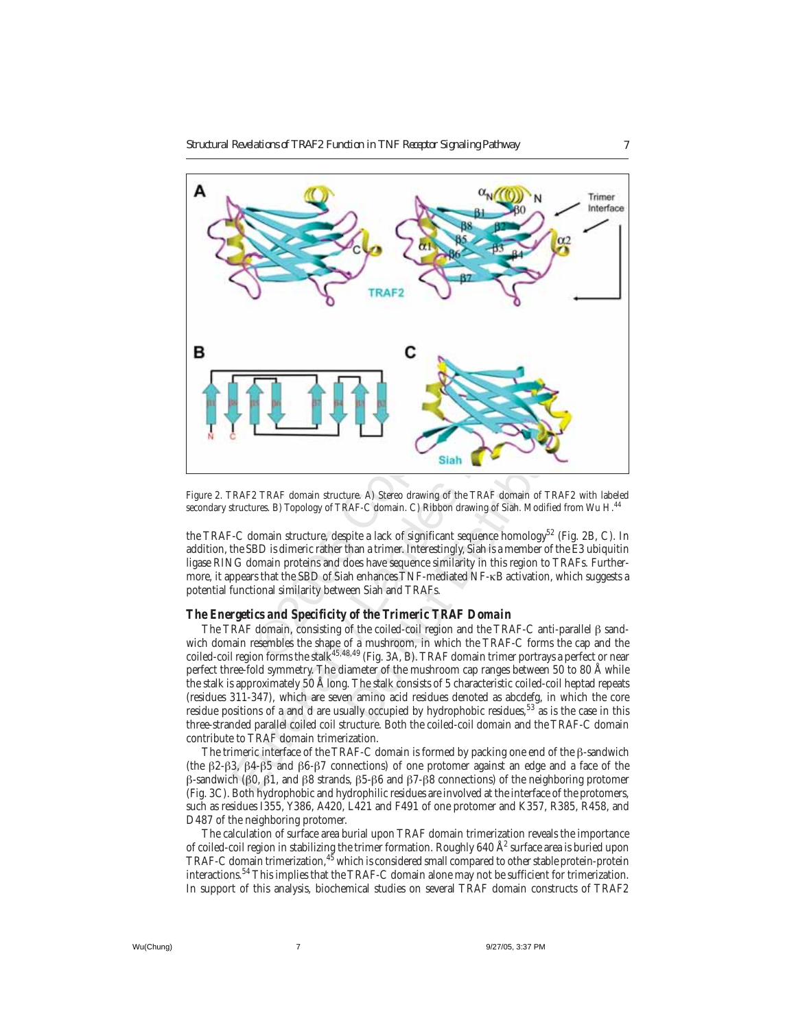

Figure 2. TRAF2 TRAF domain structure. A) Stereo drawing of the TRAF domain of TRAF2 with labeled secondary structures. B) Topology of TRAF-C domain. C) Ribbon drawing of Siah. Modified from Wu H.<sup>44</sup>

the TRAF-C domain structure, despite a lack of significant sequence homology<sup>52</sup> (Fig. 2B, C). In addition, the SBD is dimeric rather than a trimer. Interestingly, Siah is a member of the E3 ubiquitin ligase RING domain proteins and does have sequence similarity in this region to TRAFs. Furthermore, it appears that the SBD of Siah enhances TNF-mediated NF-κB activation, which suggests a potential functional similarity between Siah and TRAFs.

#### *The Energetics and Specificity of the Trimeric TRAF Domain*

Siah<br>
Siah<br>
Ware. A) Stereo drawing of the TRAF domain of TRAF<br>
AF-C domain. C) Ribbon drawing of Siah. Modified fr<br>
pite a lack of significant sequence homology<sup>52</sup> (Fi<br>
han a trimer. Interestingly, Siah is a member of th The TRAF domain, consisting of the coiled-coil region and the TRAF-C anti-parallel β sandwich domain resembles the shape of a mushroom, in which the TRAF-C forms the cap and the coiled-coil region forms the stalk<sup>45,48,49</sup> (Fig. 3A, B). TRAF domain trimer portrays a perfect or near perfect three-fold symmetry. The diameter of the mushroom cap ranges between 50 to 80 Å while the stalk is approximately 50 Å long. The stalk consists of 5 characteristic coiled-coil heptad repeats (residues 311-347), which are seven amino acid residues denoted as abcdefg, in which the core residue positions of a and d are usually occupied by hydrophobic residues,<sup>53</sup> as is the case in this three-stranded parallel coiled coil structure. Both the coiled-coil domain and the TRAF-C domain contribute to TRAF domain trimerization.

The trimeric interface of the TRAF-C domain is formed by packing one end of the β-sandwich (the β2-β3, β4-β5 and β6-β7 connections) of one protomer against an edge and a face of the β-sandwich (β0, β1, and β8 strands, β5-β6 and β7-β8 connections) of the neighboring protomer (Fig. 3C). Both hydrophobic and hydrophilic residues are involved at the interface of the protomers, such as residues I355, Y386, A420, L421 and F491 of one protomer and K357, R385, R458, and D487 of the neighboring protomer.

The calculation of surface area burial upon TRAF domain trimerization reveals the importance of coiled-coil region in stabilizing the trimer formation. Roughly 640 Å $^2$  surface area is buried upon TRAF-C domain trimerization, <sup>45</sup> which is considered small compared to other stable protein-protein interactions.54 This implies that the TRAF-C domain alone may not be sufficient for trimerization. In support of this analysis, biochemical studies on several TRAF domain constructs of TRAF2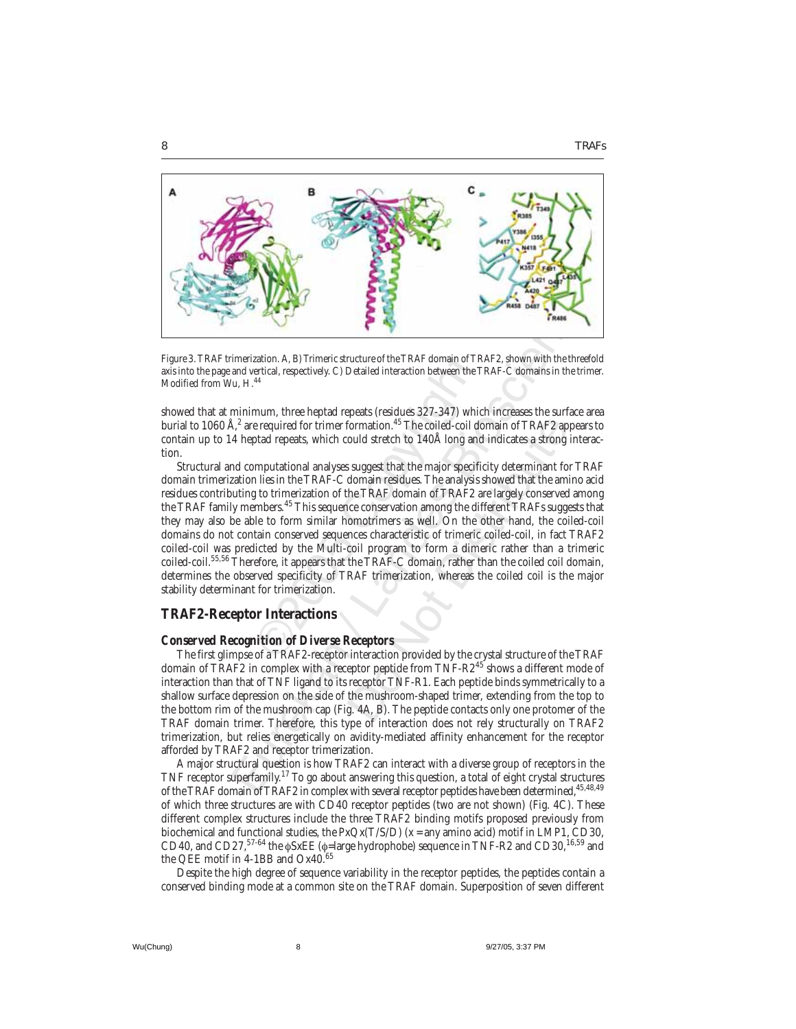

Figure 3. TRAF trimerization. A, B) Trimeric structure of the TRAF domain of TRAF2, shown with the threefold axis into the page and vertical, respectively. C) Detailed interaction between the TRAF-C domains in the trimer. Modified from Wu, H.<sup>44</sup>

showed that at minimum, three heptad repeats (residues 327-347) which increases the surface area burial to 1060 Å, $^2$  are required for trimer formation. $^{45}\rm{The}$  coiled-coil domain of TRAF2 appears to contain up to 14 heptad repeats, which could stretch to 140Å long and indicates a strong interaction.

zation. A, B) Trimeric structure of the TRAF domain of Tertical, respectively. C) Detailed interaction between the 44<br>
44<br>
44<br>
mum, three heptad repeats (residues 327-347) wh<br>
e required for trimer formation.<sup>45</sup> The coile The Matter of Haractetistic of TRAF simulation and the measurement of the measurement<br>time and vertical, respectively. C) Detailed interaction between the TRAF-C domains in the three<br>and vertical, respectively. C) Detaile formation.<sup>45</sup> The coiled-coil domain of TRAF2 ap<br>ould stretch to 140Å long and indicates a strong<br>suggest that the major specificity determinant for<br>domain residues. The analysis showed that the ami<br>he TRAF domain of TRAF Structural and computational analyses suggest that the major specificity determinant for TRAF domain trimerization lies in the TRAF-C domain residues. The analysis showed that the amino acid residues contributing to trimerization of the TRAF domain of TRAF2 are largely conserved among the TRAF family members.<sup>45</sup> This sequence conservation among the different TRAFs suggests that they may also be able to form similar homotrimers as well. On the other hand, the coiled-coil domains do not contain conserved sequences characteristic of trimeric coiled-coil, in fact TRAF2 coiled-coil was predicted by the Multi-coil program to form a dimeric rather than a trimeric coiled-coil.55,56 Therefore, it appears that the TRAF-C domain, rather than the coiled coil domain, determines the observed specificity of TRAF trimerization, whereas the coiled coil is the major stability determinant for trimerization.

## **TRAF2-Receptor Interactions**

#### *Conserved Recognition of Diverse Receptors*

The first glimpse of a TRAF2-receptor interaction provided by the crystal structure of the TRAF domain of TRAF2 in complex with a receptor peptide from TNF-R2<sup>45</sup> shows a different mode of interaction than that of TNF ligand to its receptor TNF-R1. Each peptide binds symmetrically to a shallow surface depression on the side of the mushroom-shaped trimer, extending from the top to the bottom rim of the mushroom cap (Fig. 4A, B). The peptide contacts only one protomer of the TRAF domain trimer. Therefore, this type of interaction does not rely structurally on TRAF2 trimerization, but relies energetically on avidity-mediated affinity enhancement for the receptor afforded by TRAF2 and receptor trimerization.

A major structural question is how TRAF2 can interact with a diverse group of receptors in the TNF receptor superfamily.<sup>17</sup> To go about answering this question, a total of eight crystal structures of the TRAF domain of TRAF2 in complex with several receptor peptides have been determined, 45,48,49 of which three structures are with CD40 receptor peptides (two are not shown) (Fig. 4C). These different complex structures include the three TRAF2 binding motifs proposed previously from biochemical and functional studies, the  $P_XQ_X(T/S/D)$  (x = any amino acid) motif in LMP1, CD30, CD40, and CD27,<sup>57-64</sup> the φSxEE (φ=large hydrophobe) sequence in TNF-R2 and CD30,<sup>16,59</sup> and the QEE motif in 4-1BB and Ox40.<sup>65</sup>

Despite the high degree of sequence variability in the receptor peptides, the peptides contain a conserved binding mode at a common site on the TRAF domain. Superposition of seven different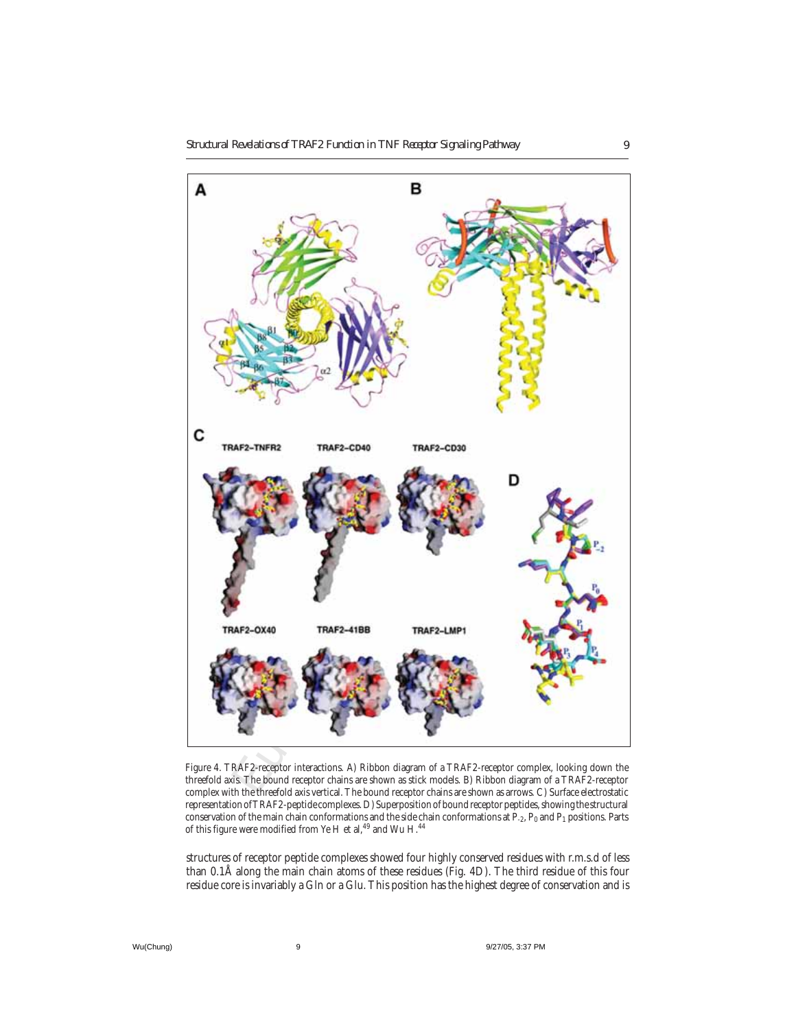

Figure 4. TRAF2-receptor interactions. A) Ribbon diagram of a TRAF2-receptor complex, looking down the threefold axis. The bound receptor chains are shown as stick models. B) Ribbon diagram of a TRAF2-receptor complex with the threefold axis vertical. The bound receptor chains are shown as arrows. C) Surface electrostatic representation of TRAF2-peptide complexes. D) Superposition of bound receptor peptides, showing the structural conservation of the main chain conformations and the side chain conformations at P<sub>-2</sub>, P<sub>0</sub> and P<sub>1</sub> positions. Parts of this figure were modified from Ye H et al, $^{49}$  and Wu H. $^{44}$ 

structures of receptor peptide complexes showed four highly conserved residues with r.m.s.d of less than 0.1Å along the main chain atoms of these residues (Fig. 4D). The third residue of this four residue core is invariably a Gln or a Glu. This position has the highest degree of conservation and is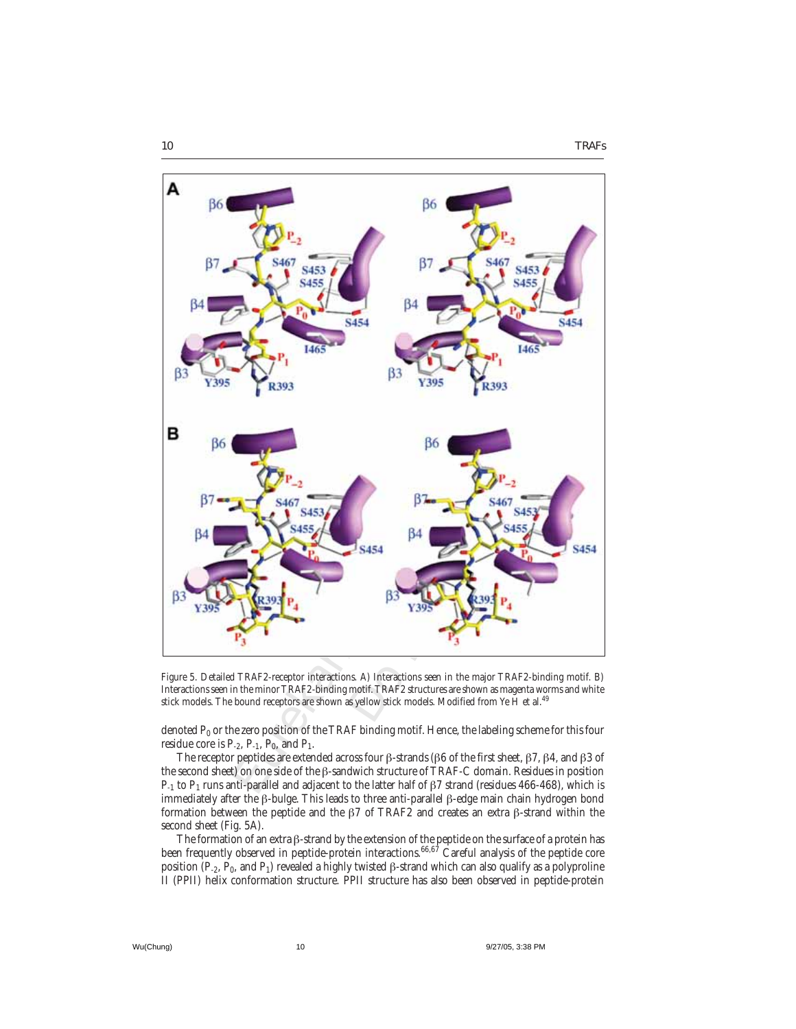

Figure 5. Detailed TRAF2-receptor interactions. A) Interactions seen in the major TRAF2-binding motif. B) Interactions seen in the minor TRAF2-binding motif. TRAF2 structures are shown as magenta worms and white stick models. The bound receptors are shown as yellow stick models. Modified from Ye H et al.<sup>49</sup>

denoted  $P_0$  or the zero position of the TRAF binding motif. Hence, the labeling scheme for this four residue core is  $P_{-2}$ ,  $P_{-1}$ ,  $P_0$ , and  $P_1$ .

The receptor peptides are extended across four β-strands (β6 of the first sheet, β7, β4, and β3 of the second sheet) on one side of the β-sandwich structure of TRAF-C domain. Residues in position P<sub>-1</sub> to P<sub>1</sub> runs anti-parallel and adjacent to the latter half of β7 strand (residues 466-468), which is immediately after the β-bulge. This leads to three anti-parallel β-edge main chain hydrogen bond formation between the peptide and the β7 of TRAF2 and creates an extra β-strand within the second sheet (Fig. 5A).

The formation of an extra β-strand by the extension of the peptide on the surface of a protein has been frequently observed in peptide-protein interactions.<sup>66,67</sup> Careful analysis of the peptide core position (P<sub>-2</sub>, P<sub>0</sub>, and P<sub>1</sub>) revealed a highly twisted β-strand which can also qualify as a polyproline II (PPII) helix conformation structure. PPII structure has also been observed in peptide-protein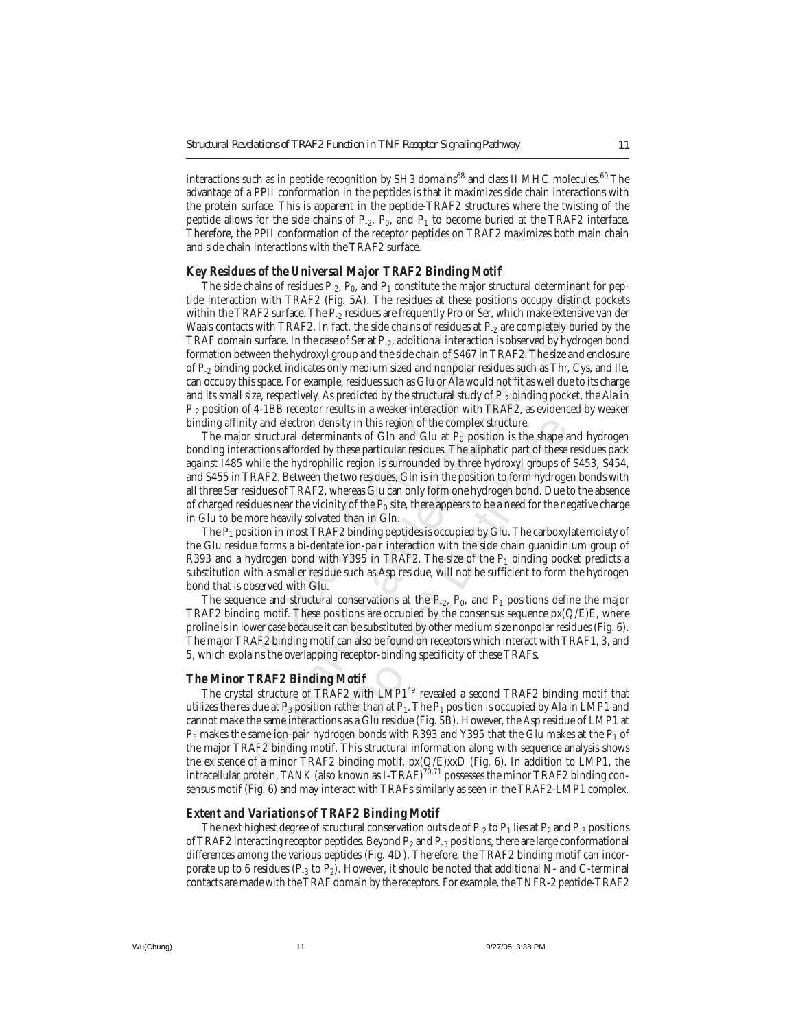interactions such as in peptide recognition by SH3 domains<sup>68</sup> and class II MHC molecules.<sup>69</sup> The advantage of a PPII conformation in the peptides is that it maximizes side chain interactions with the protein surface. This is apparent in the peptide-TRAF2 structures where the twisting of the peptide allows for the side chains of  $P_{-2}$ ,  $P_0$ , and  $P_1$  to become buried at the TRAF2 interface. Therefore, the PPII conformation of the receptor peptides on TRAF2 maximizes both main chain and side chain interactions with the TRAF2 surface.

#### *Key Residues of the Universal Major TRAF2 Binding Motif*

de chains of residues P<sub>2</sub>, P<sub>0</sub>, and P<sub>1</sub> constitute the major structural determinant criteration with TRAF2 Lin fact. the heat constrained term in TRAF2 Lin fact. The particles at the solution scoupy distinct TRAF2 surf The side chains of residues  $P_{-2}$ ,  $P_0$ , and  $P_1$  constitute the major structural determinant for peptide interaction with TRAF2 (Fig. 5A). The residues at these positions occupy distinct pockets within the TRAF2 surface. The P<sub>-2</sub> residues are frequently Pro or Ser, which make extensive van der Waals contacts with TRAF2. In fact, the side chains of residues at P<sub>-2</sub> are completely buried by the TRAF domain surface. In the case of Ser at P-2, additional interaction is observed by hydrogen bond formation between the hydroxyl group and the side chain of S467 in TRAF2. The size and enclosure of P-2 binding pocket indicates only medium sized and nonpolar residues such as Thr, Cys, and Ile, can occupy this space. For example, residues such as Glu or Ala would not fit as well due to its charge and its small size, respectively. As predicted by the structural study of P<sub>-2</sub> binding pocket, the Ala in P-2 position of 4-1BB receptor results in a weaker interaction with TRAF2, as evidenced by weaker binding affinity and electron density in this region of the complex structure.

been the hydroxyl group and the side chain of S46 / pocket indicates only medium sized and nonpolar space. For example, residues such as Glu or Ala we ze, respectively. As predicted by the structural stud 4-1BB receptor r y in this region of the complex structure.<br>
nts of Gln and Glu at  $P_0$  position is the shape a<br>
see particular residues. The aliphatic part of these<br>
region is surrounded by three hydroxyl groups of<br>
wo residues, Gln is The major structural determinants of Gln and Glu at  $P_0$  position is the shape and hydrogen bonding interactions afforded by these particular residues. The aliphatic part of these residues pack against I485 while the hydrophilic region is surrounded by three hydroxyl groups of S453, S454, and S455 in TRAF2. Between the two residues, Gln is in the position to form hydrogen bonds with all three Ser residues of TRAF2, whereas Glu can only form one hydrogen bond. Due to the absence of charged residues near the vicinity of the  $P_0$  site, there appears to be a need for the negative charge in Glu to be more heavily solvated than in Gln.

The  $P_1$  position in most TRAF2 binding peptides is occupied by Glu. The carboxylate moiety of the Glu residue forms a bi-dentate ion-pair interaction with the side chain guanidinium group of R393 and a hydrogen bond with Y395 in TRAF2. The size of the  $P_1$  binding pocket predicts a substitution with a smaller residue such as Asp residue, will not be sufficient to form the hydrogen bond that is observed with Glu.

The sequence and structural conservations at the  $P_{-2}$ ,  $P_0$ , and  $P_1$  positions define the major TRAF2 binding motif. These positions are occupied by the consensus sequence  $px(Q/E)E$ , where proline is in lower case because it can be substituted by other medium size nonpolar residues (Fig. 6). The major TRAF2 binding motif can also be found on receptors which interact with TRAF1, 3, and 5, which explains the overlapping receptor-binding specificity of these TRAFs.

#### *The Minor TRAF2 Binding Motif*

The crystal structure of TRAF2 with LMP1<sup>49</sup> revealed a second TRAF2 binding motif that utilizes the residue at  $P_3$  position rather than at  $P_1$ . The  $P_1$  position is occupied by Ala in LMP1 and cannot make the same interactions as a Glu residue (Fig. 5B). However, the Asp residue of LMP1 at  $P_3$  makes the same ion-pair hydrogen bonds with R393 and Y395 that the Glu makes at the  $P_1$  of the major TRAF2 binding motif. This structural information along with sequence analysis shows the existence of a minor TRAF2 binding motif, px(Q/E)xxD (Fig. 6). In addition to LMP1, the intracellular protein, TANK (also known as I-TRAF) $^{70,71}$  possesses the minor TRAF2 binding consensus motif (Fig. 6) and may interact with TRAFs similarly as seen in the TRAF2-LMP1 complex.

#### *Extent and Variations of TRAF2 Binding Motif*

The next highest degree of structural conservation outside of  $P_{-2}$  to  $P_1$  lies at  $P_2$  and  $P_{-3}$  positions of TRAF2 interacting receptor peptides. Beyond  $P_2$  and  $P_3$  positions, there are large conformational differences among the various peptides (Fig. 4D). Therefore, the TRAF2 binding motif can incorporate up to 6 residues ( $P_3$  to  $P_2$ ). However, it should be noted that additional N- and C-terminal contacts are made with the TRAF domain by the receptors. For example, the TNFR-2 peptide-TRAF2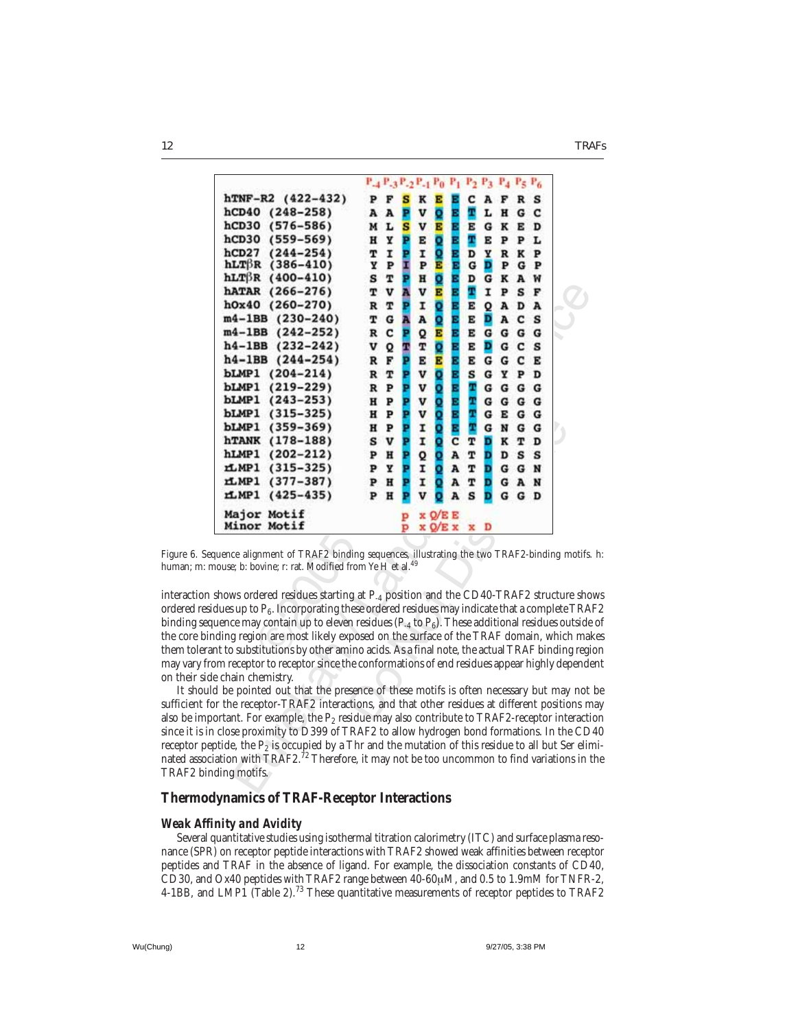*12 TRAFs*

|                                                                                         |             | $P_2$ $P_3$ $P_4$ $P_5$ $P_6$<br>$P_4 P_3 P_2 P_4 P_0$<br>$P_1$                                                                                                                                                                                                                                                                                                                                                                                                                                                                                                                                                                                                                                                                                                                                                                           |  |
|-----------------------------------------------------------------------------------------|-------------|-------------------------------------------------------------------------------------------------------------------------------------------------------------------------------------------------------------------------------------------------------------------------------------------------------------------------------------------------------------------------------------------------------------------------------------------------------------------------------------------------------------------------------------------------------------------------------------------------------------------------------------------------------------------------------------------------------------------------------------------------------------------------------------------------------------------------------------------|--|
|                                                                                         |             |                                                                                                                                                                                                                                                                                                                                                                                                                                                                                                                                                                                                                                                                                                                                                                                                                                           |  |
| hTNF-R2 (422-432)                                                                       | P<br>F<br>s | ĸ<br>c<br>A<br>R<br>s<br>E<br>F                                                                                                                                                                                                                                                                                                                                                                                                                                                                                                                                                                                                                                                                                                                                                                                                           |  |
| hCD40<br>$(248 - 258)$                                                                  | A<br>P<br>A | T<br>V<br>o<br>L<br>с<br>Ε<br>н<br>G                                                                                                                                                                                                                                                                                                                                                                                                                                                                                                                                                                                                                                                                                                                                                                                                      |  |
| hCD30 (576-586)                                                                         | s<br>M<br>L | E<br>v<br>Е<br>G<br>ĸ<br>Е<br>Е<br>D                                                                                                                                                                                                                                                                                                                                                                                                                                                                                                                                                                                                                                                                                                                                                                                                      |  |
| hCD30 (559-569)                                                                         | н<br>Y<br>P | T<br>Q<br>P<br>Е<br>Е<br>Е<br>P<br>L                                                                                                                                                                                                                                                                                                                                                                                                                                                                                                                                                                                                                                                                                                                                                                                                      |  |
| hCD27<br>$(244 - 254)$                                                                  | Ĩ<br>т<br>Þ | I<br><b>Q</b><br>E<br>E<br>D<br>Y<br>ĸ<br>P<br>R                                                                                                                                                                                                                                                                                                                                                                                                                                                                                                                                                                                                                                                                                                                                                                                          |  |
| $hLT\beta R$<br>$(386 - 410)$                                                           | I<br>Y<br>P | D<br>P<br>E<br>G<br>P<br>G<br>P                                                                                                                                                                                                                                                                                                                                                                                                                                                                                                                                                                                                                                                                                                                                                                                                           |  |
| $hLT\beta R$ (400-410)                                                                  | т<br>₽<br>s | Q<br>D<br>H<br>Е<br>G<br>A<br>ĸ<br>w                                                                                                                                                                                                                                                                                                                                                                                                                                                                                                                                                                                                                                                                                                                                                                                                      |  |
| hATAR (266-276)                                                                         | v<br>Ä<br>т | T<br>v<br>E<br>I<br>S<br>E<br>P<br>F                                                                                                                                                                                                                                                                                                                                                                                                                                                                                                                                                                                                                                                                                                                                                                                                      |  |
| h0x40<br>$(260 - 270)$                                                                  | T<br>P<br>R | Q<br>I<br>E<br>Е<br>Q<br>A<br>D<br>A                                                                                                                                                                                                                                                                                                                                                                                                                                                                                                                                                                                                                                                                                                                                                                                                      |  |
| m4-1BB (230-240)                                                                        | G<br>т<br>A | A<br>Q<br>E<br>D<br>c<br>s<br>A<br>E                                                                                                                                                                                                                                                                                                                                                                                                                                                                                                                                                                                                                                                                                                                                                                                                      |  |
| $m4-1BB$<br>$(242 - 252)$                                                               | R<br>c<br>P | Q<br>G<br>E<br>Е<br>G<br>G<br>G<br>E                                                                                                                                                                                                                                                                                                                                                                                                                                                                                                                                                                                                                                                                                                                                                                                                      |  |
| $h4-1BB$ (232-242)                                                                      | V<br>Q<br>Ŧ | Q<br>T<br>D<br>E<br>G<br>c<br>s<br>Е                                                                                                                                                                                                                                                                                                                                                                                                                                                                                                                                                                                                                                                                                                                                                                                                      |  |
| $h4-1BB$ $(244-254)$                                                                    | p<br>F<br>R | E<br>Е<br>E<br>c<br>Е<br>G<br>G<br>E                                                                                                                                                                                                                                                                                                                                                                                                                                                                                                                                                                                                                                                                                                                                                                                                      |  |
| <b>bLMP1</b><br>$(204 - 214)$                                                           | R<br>т<br>P | Q<br>V<br>s<br>G<br>Y<br>P<br>D<br>E                                                                                                                                                                                                                                                                                                                                                                                                                                                                                                                                                                                                                                                                                                                                                                                                      |  |
| bLMP1<br>$(219 - 229)$                                                                  | P<br>R<br>P | v<br>Q<br>T<br>E<br>G<br>G<br>G<br>G                                                                                                                                                                                                                                                                                                                                                                                                                                                                                                                                                                                                                                                                                                                                                                                                      |  |
| bLMP1 (243-253)                                                                         | P<br>н<br>P | T<br>V<br>Q<br>G<br>G G<br>G                                                                                                                                                                                                                                                                                                                                                                                                                                                                                                                                                                                                                                                                                                                                                                                                              |  |
| bLMP1 (315-325)                                                                         | н<br>P<br>P | T<br>V<br>Q<br>G<br>G<br>Е<br>G                                                                                                                                                                                                                                                                                                                                                                                                                                                                                                                                                                                                                                                                                                                                                                                                           |  |
| bLMP1 (359-369)                                                                         | P<br>₽<br>н | T<br>Q<br>I<br>G<br>N<br>G<br>G                                                                                                                                                                                                                                                                                                                                                                                                                                                                                                                                                                                                                                                                                                                                                                                                           |  |
| hTANK (178-188)                                                                         | v<br>P<br>s | I<br>Q<br>c<br>т<br>D<br>ĸ<br>т<br>D                                                                                                                                                                                                                                                                                                                                                                                                                                                                                                                                                                                                                                                                                                                                                                                                      |  |
| hLMP1<br>$(202 - 212)$                                                                  | H<br>P<br>₽ | Q<br>Q<br>A<br>т<br>D<br>s<br>s<br>D                                                                                                                                                                                                                                                                                                                                                                                                                                                                                                                                                                                                                                                                                                                                                                                                      |  |
| rLMP1 (315-325)                                                                         | Y<br>P<br>P | I<br>Q<br>A<br>т<br>D<br>G G<br>N                                                                                                                                                                                                                                                                                                                                                                                                                                                                                                                                                                                                                                                                                                                                                                                                         |  |
| rl MP1<br>$(377 - 387)$                                                                 | H<br>P<br>P | I<br>Đ<br>o<br>A<br>т<br>G<br>A<br>N                                                                                                                                                                                                                                                                                                                                                                                                                                                                                                                                                                                                                                                                                                                                                                                                      |  |
| rLMP1 (425-435)                                                                         | H<br>P<br>P | v<br>s<br>D<br>A<br>G<br>G<br>D<br>о                                                                                                                                                                                                                                                                                                                                                                                                                                                                                                                                                                                                                                                                                                                                                                                                      |  |
|                                                                                         |             |                                                                                                                                                                                                                                                                                                                                                                                                                                                                                                                                                                                                                                                                                                                                                                                                                                           |  |
| Major Motif                                                                             | P           | x Q/E E                                                                                                                                                                                                                                                                                                                                                                                                                                                                                                                                                                                                                                                                                                                                                                                                                                   |  |
| Minor Motif                                                                             | р           | x Q/E x<br>D<br>x                                                                                                                                                                                                                                                                                                                                                                                                                                                                                                                                                                                                                                                                                                                                                                                                                         |  |
| iouse; b: bovine; r: rat. Modified from Ye H et al. <sup>49</sup><br>e chain chemistry. |             | uence alignment of TRAF2 binding sequences, illustrating the two TRAF2-binding motifs.<br>shows ordered residues starting at P <sub>-4</sub> position and the CD40-TRAF2 structure sho<br>dues up to $P_6$ . Incorporating these ordered residues may indicate that a complete TRA<br>uence may contain up to eleven residues ( $P_{-4}$ to $P_6$ ). These additional residues outside<br>ding region are most likely exposed on the surface of the TRAF domain, which mal<br>nt to substitutions by other amino acids. As a final note, the actual TRAF binding regi<br>m receptor to receptor since the conformations of end residues appear highly depende<br>I be pointed out that the presence of these motifs is often necessary but may not<br>r the receptor-TRAF2 interactions, and that other residues at different positions m |  |
| ding motifs.                                                                            |             | ortant. For example, the $P_2$ residue may also contribute to TRAF2-receptor interacti<br>close proximity to D399 of TRAF2 to allow hydrogen bond formations. In the CD<br>otide, the $P_2$ is occupied by a Thr and the mutation of this residue to all but Ser elingtide,<br>ation with $\text{TRAF2.}^{\text{72}}$ Therefore, it may not be too uncommon to find variations in t                                                                                                                                                                                                                                                                                                                                                                                                                                                       |  |

Figure 6. Sequence alignment of TRAF2 binding sequences, illustrating the two TRAF2-binding motifs. h: human; m: mouse; b: bovine; r: rat. Modified from Ye H et al.  $^{49}$ 

interaction shows ordered residues starting at P-4 position and the CD40-TRAF2 structure shows ordered residues up to  $P_6$ . Incorporating these ordered residues may indicate that a complete TRAF2 binding sequence may contain up to eleven residues  $(P_4$  to  $P_6$ ). These additional residues outside of the core binding region are most likely exposed on the surface of the TRAF domain, which makes them tolerant to substitutions by other amino acids. As a final note, the actual TRAF binding region may vary from receptor to receptor since the conformations of end residues appear highly dependent on their side chain chemistry.

It should be pointed out that the presence of these motifs is often necessary but may not be sufficient for the receptor-TRAF2 interactions, and that other residues at different positions may also be important. For example, the  $P_2$  residue may also contribute to TRAF2-receptor interaction since it is in close proximity to D399 of TRAF2 to allow hydrogen bond formations. In the CD40 receptor peptide, the  $P_2$  is occupied by a Thr and the mutation of this residue to all but Ser eliminated association with TRAF2.<sup>72</sup> Therefore, it may not be too uncommon to find variations in the TRAF2 binding motifs.

#### **Thermodynamics of TRAF-Receptor Interactions**

#### *Weak Affinity and Avidity*

Several quantitative studies using isothermal titration calorimetry (ITC) and surface plasma resonance (SPR) on receptor peptide interactions with TRAF2 showed weak affinities between receptor peptides and TRAF in the absence of ligand. For example, the dissociation constants of CD40, CD30, and Ox40 peptides with TRAF2 range between  $40\n-60\mu$ M, and 0.5 to 1.9mM for TNFR-2, 4-1BB, and LMP1 (Table 2).<sup>73</sup> These quantitative measurements of receptor peptides to TRAF2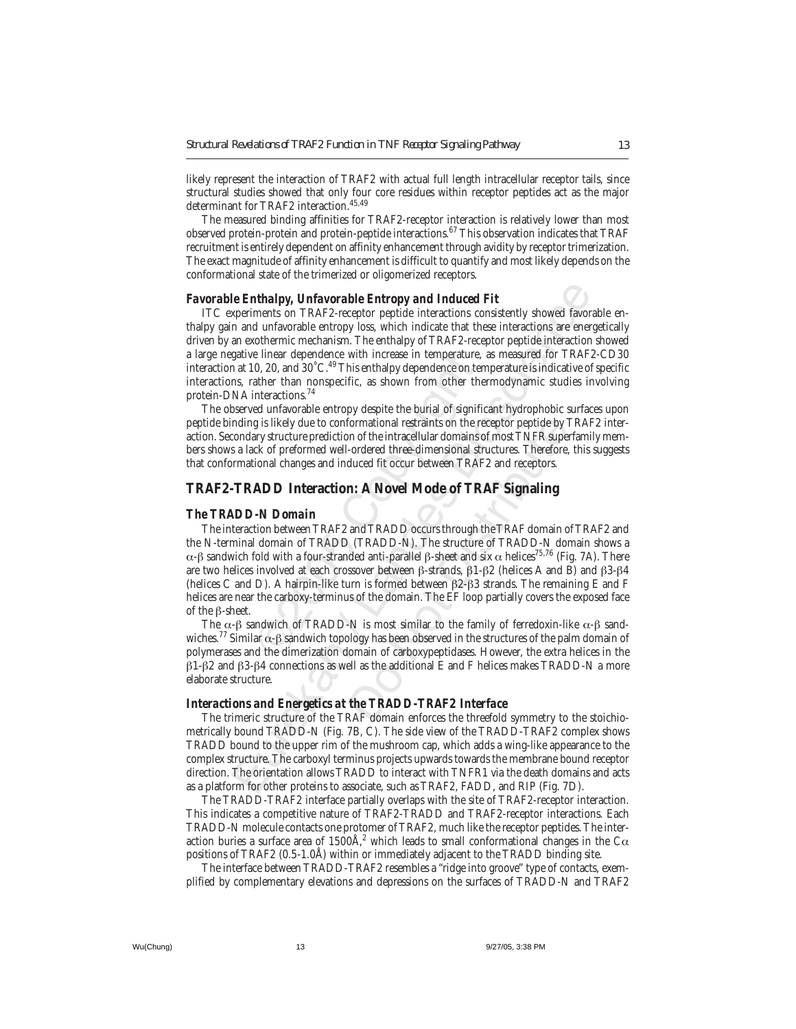likely represent the interaction of TRAF2 with actual full length intracellular receptor tails, since structural studies showed that only four core residues within receptor peptides act as the major determinant for TRAF2 interaction.45,49

The measured binding affinities for TRAF2-receptor interaction is relatively lower than most observed protein-protein and protein-peptide interactions.<sup>67</sup> This observation indicates that TRAF recruitment is entirely dependent on affinity enhancement through avidity by receptor trimerization. The exact magnitude of affinity enhancement is difficult to quantify and most likely depends on the conformational state of the trimerized or oligomerized receptors.

#### *Favorable Enthalpy, Unfavorable Entropy and Induced Fit*

ITC experiments on TRAF2-receptor peptide interactions consistently showed favorable enthalpy gain and unfavorable entropy loss, which indicate that these interactions are energetically driven by an exothermic mechanism. The enthalpy of TRAF2-receptor peptide interaction showed a large negative linear dependence with increase in temperature, as measured for TRAF2-CD30 interaction at 10, 20, and 30˚C.49 This enthalpy dependence on temperature is indicative of specific interactions, rather than nonspecific, as shown from other thermodynamic studies involving protein-DNA interactions.74

The observed unfavorable entropy despite the burial of significant hydrophobic surfaces upon peptide binding is likely due to conformational restraints on the receptor peptide by TRAF2 interaction. Secondary structure prediction of the intracellular domains of most TNFR superfamily members shows a lack of preformed well-ordered three-dimensional structures. Therefore, this suggests that conformational changes and induced fit occur between TRAF2 and receptors.

#### **TRAF2-TRADD Interaction: A Novel Mode of TRAF Signaling**

#### *The TRADD-N Domain*

e linear dependence with increase in temperatur<br>
0, 20, and 30°C.<sup>49</sup>This enthalpy dependence on t<br>
ather than nonspecific, as shown from other t<br>
interactions.<sup>74</sup><br>
ed unfavorable entropy despite the burial of signing<br> Le Enthalpy, Unfavorable Entropy and Induced Fit<br>periments on TRAF2-receptor peptide interactions consistently showed favore<br>in and unfavorable entropy loss, which indicate that these interactions are ener<br>an exothermic m formational restraints on the receptor peptide by 1<br>an of the intracellular domains of most TNFR super-ordered three-dimensional structures. Therefore,<br>duced fit occur between TRAF2 and receptors.<br>**n: A Novel Mode of TR** The interaction between TRAF2 and TRADD occurs through the TRAF domain of TRAF2 and the N-terminal domain of TRADD (TRADD-N). The structure of TRADD-N domain shows a α-β sandwich fold with a four-stranded anti-parallel β-sheet and six  $\alpha$  helices<sup>75,76</sup> (Fig. 7A). There are two helices involved at each crossover between β-strands, β1-β2 (helices A and B) and β3-β4 (helices C and D). A hairpin-like turn is formed between β2-β3 strands. The remaining E and F helices are near the carboxy-terminus of the domain. The EF loop partially covers the exposed face of the β-sheet.

The  $\alpha$ -β sandwich of TRADD-N is most similar to the family of ferredoxin-like  $\alpha$ -β sandwiches.<sup>77</sup> Similar  $\alpha$ -β sandwich topology has been observed in the structures of the palm domain of polymerases and the dimerization domain of carboxypeptidases. However, the extra helices in the β1-β2 and β3-β4 connections as well as the additional E and F helices makes TRADD-N a more elaborate structure.

#### *Interactions and Energetics at the TRADD-TRAF2 Interface*

The trimeric structure of the TRAF domain enforces the threefold symmetry to the stoichiometrically bound TRADD-N (Fig. 7B, C). The side view of the TRADD-TRAF2 complex shows TRADD bound to the upper rim of the mushroom cap, which adds a wing-like appearance to the complex structure. The carboxyl terminus projects upwards towards the membrane bound receptor direction. The orientation allows TRADD to interact with TNFR1 via the death domains and acts as a platform for other proteins to associate, such as TRAF2, FADD, and RIP (Fig. 7D).

The TRADD-TRAF2 interface partially overlaps with the site of TRAF2-receptor interaction. This indicates a competitive nature of TRAF2-TRADD and TRAF2-receptor interactions. Each TRADD-N molecule contacts one protomer of TRAF2, much like the receptor peptides. The interaction buries a surface area of 1500Å, $^2$  which leads to small conformational changes in the C $\alpha$ positions of TRAF2 (0.5-1.0Å) within or immediately adjacent to the TRADD binding site.

The interface between TRADD-TRAF2 resembles a "ridge into groove" type of contacts, exemplified by complementary elevations and depressions on the surfaces of TRADD-N and TRAF2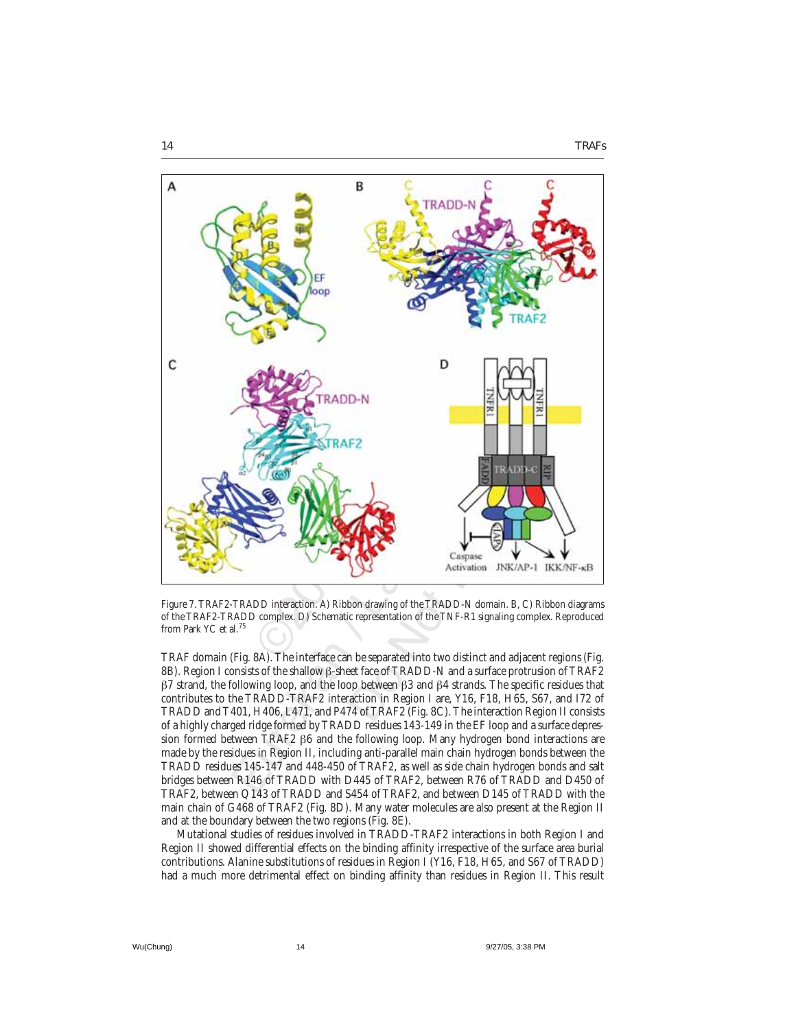

Figure 7. TRAF2-TRADD interaction. A) Ribbon drawing of the TRADD-N domain. B, C) Ribbon diagrams of the TRAF2-TRADD complex. D) Schematic representation of the TNF-R1 signaling complex. Reproduced from Park YC et al.<sup>75</sup>

TRAF domain (Fig. 8A). The interface can be separated into two distinct and adjacent regions (Fig. 8B). Region I consists of the shallow β-sheet face of TRADD-N and a surface protrusion of TRAF2  $β7$  strand, the following loop, and the loop between  $β3$  and  $β4$  strands. The specific residues that contributes to the TRADD-TRAF2 interaction in Region I are, Y16, F18, H65, S67, and I72 of TRADD and T401, H406, L471, and P474 of TRAF2 (Fig. 8C). The interaction Region II consists of a highly charged ridge formed by TRADD residues 143-149 in the EF loop and a surface depression formed between TRAF2 β6 and the following loop. Many hydrogen bond interactions are made by the residues in Region II, including anti-parallel main chain hydrogen bonds between the TRADD residues 145-147 and 448-450 of TRAF2, as well as side chain hydrogen bonds and salt bridges between R146 of TRADD with D445 of TRAF2, between R76 of TRADD and D450 of TRAF2, between Q143 of TRADD and S454 of TRAF2, and between D145 of TRADD with the main chain of G468 of TRAF2 (Fig. 8D). Many water molecules are also present at the Region II and at the boundary between the two regions (Fig. 8E).

Mutational studies of residues involved in TRADD-TRAF2 interactions in both Region I and Region II showed differential effects on the binding affinity irrespective of the surface area burial contributions. Alanine substitutions of residues in Region I (Y16, F18, H65, and S67 of TRADD) had a much more detrimental effect on binding affinity than residues in Region II. This result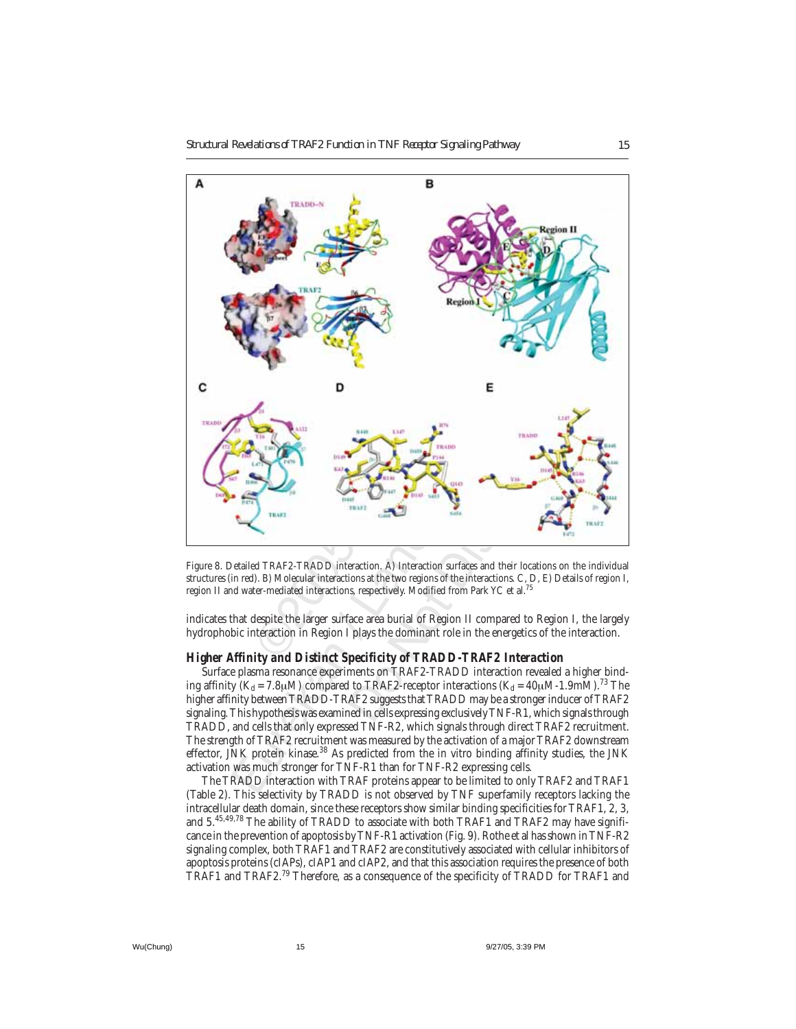

Figure 8. Detailed TRAF2-TRADD interaction. A) Interaction surfaces and their locations on the individual structures (in red). B) Molecular interactions at the two regions of the interactions. C, D, E) Details of region I, region II and water-mediated interactions, respectively. Modified from Park YC et al.75

indicates that despite the larger surface area burial of Region II compared to Region I, the largely hydrophobic interaction in Region I plays the dominant role in the energetics of the interaction.

#### *Higher Affinity and Distinct Specificity of TRADD-TRAF2 Interaction*

Surface plasma resonance experiments on TRAF2-TRADD interaction revealed a higher binding affinity  $(K_d = 7.8 \mu M)$  compared to TRAF2-receptor interactions  $(K_d = 40 \mu M-1.9 \mu M)^{73}$  The higher affinity between TRADD-TRAF2 suggests that TRADD may be a stronger inducer of TRAF2 signaling. This hypothesis was examined in cells expressing exclusively TNF-R1, which signals through TRADD, and cells that only expressed TNF-R2, which signals through direct TRAF2 recruitment. The strength of TRAF2 recruitment was measured by the activation of a major TRAF2 downstream effector, JNK protein kinase.<sup>38</sup> As predicted from the in vitro binding affinity studies, the JNK activation was much stronger for TNF-R1 than for TNF-R2 expressing cells.

The TRADD interaction with TRAF proteins appear to be limited to only TRAF2 and TRAF1 (Table 2). This selectivity by TRADD is not observed by TNF superfamily receptors lacking the intracellular death domain, since these receptors show similar binding specificities for TRAF1, 2, 3, and 5.<sup>45,49,78</sup> The ability of TRADD to associate with both TRAF1 and TRAF2 may have significance in the prevention of apoptosis by TNF-R1 activation (Fig. 9). Rothe et al has shown in TNF-R2 signaling complex, both TRAF1 and TRAF2 are constitutively associated with cellular inhibitors of apoptosis proteins (cIAPs), cIAP1 and cIAP2, and that this association requires the presence of both TRAF1 and TRAF2.79 Therefore, as a consequence of the specificity of TRADD for TRAF1 and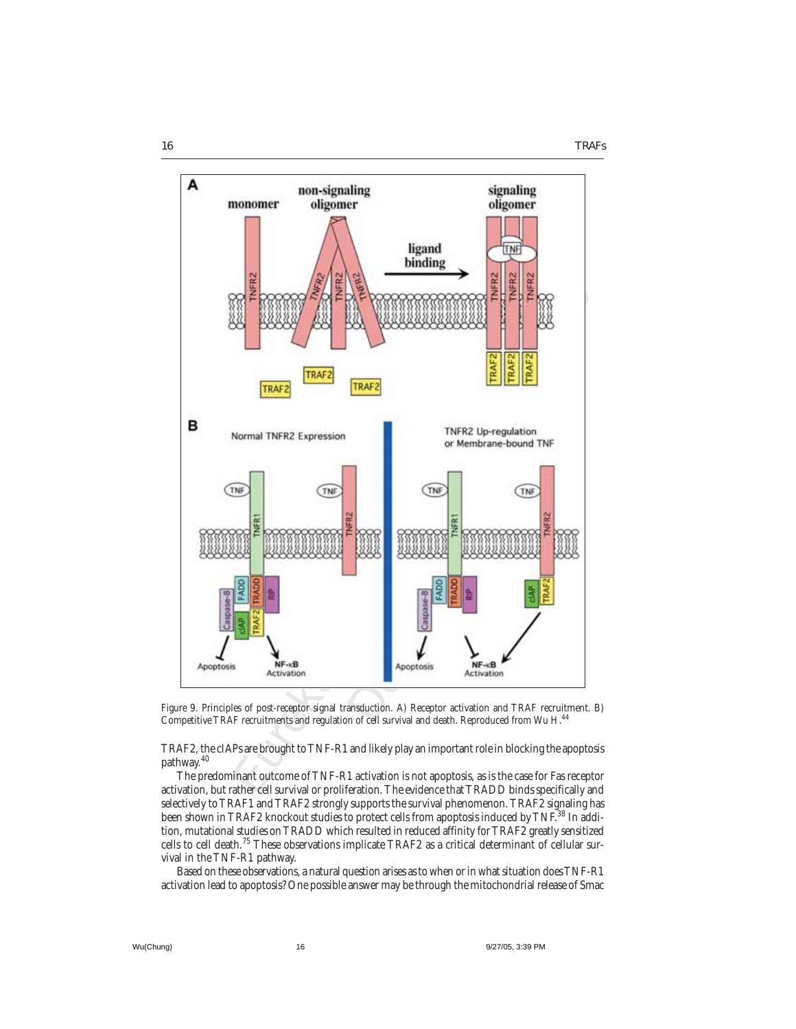

Figure 9. Principles of post-receptor signal transduction. A) Receptor activation and TRAF recruitment. B) Competitive TRAF recruitments and regulation of cell survival and death. Reproduced from Wu H.44

TRAF2, the cIAPs are brought to TNF-R1 and likely play an important role in blocking the apoptosis pathway.<sup>40</sup>

The predominant outcome of TNF-R1 activation is not apoptosis, as is the case for Fas receptor activation, but rather cell survival or proliferation. The evidence that TRADD binds specifically and selectively to TRAF1 and TRAF2 strongly supports the survival phenomenon. TRAF2 signaling has been shown in TRAF2 knockout studies to protect cells from apoptosis induced by TNF.<sup>38</sup> In addition, mutational studies on TRADD which resulted in reduced affinity for TRAF2 greatly sensitized cells to cell death.75 These observations implicate TRAF2 as a critical determinant of cellular survival in the TNF-R1 pathway.

Based on these observations, a natural question arises as to when or in what situation does TNF-R1 activation lead to apoptosis? One possible answer may be through the mitochondrial release of Smac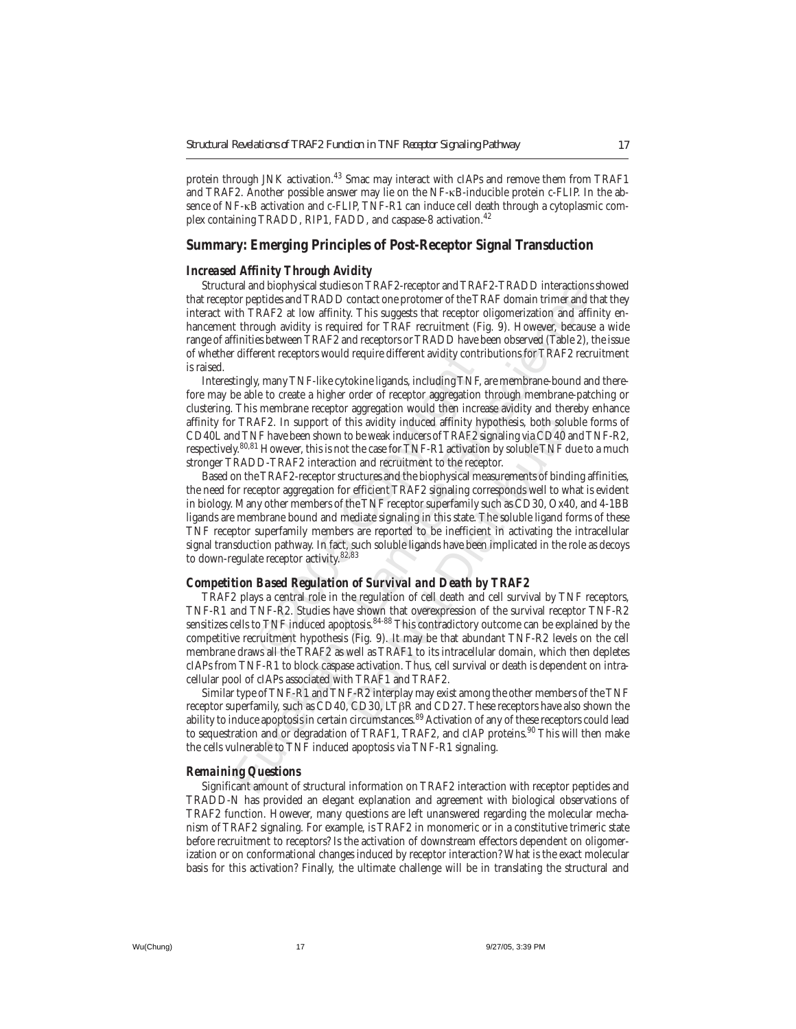protein through JNK activation.<sup>43</sup> Smac may interact with cIAPs and remove them from TRAF1 and TRAF2. Another possible answer may lie on the NF-κB-inducible protein c-FLIP. In the absence of NF-κB activation and c-FLIP, TNF-R1 can induce cell death through a cytoplasmic complex containing TRADD, RIP1, FADD, and caspase-8 activation.<sup>42</sup>

#### **Summary: Emerging Principles of Post-Receptor Signal Transduction**

#### *Increased Affinity Through Avidity*

Structural and biophysical studies on TRAF2-receptor and TRAF2-TRADD interactions showed that receptor peptides and TRADD contact one protomer of the TRAF domain trimer and that they interact with TRAF2 at low affinity. This suggests that receptor oligomerization and affinity enhancement through avidity is required for TRAF recruitment (Fig. 9). However, because a wide range of affinities between TRAF2 and receptors or TRADD have been observed (Table 2), the issue of whether different receptors would require different avidity contributions for TRAF2 recruitment is raised.

Interestingly, many TNF-like cytokine ligands, including TNF, are membrane-bound and therefore may be able to create a higher order of receptor aggregation through membrane-patching or clustering. This membrane receptor aggregation would then increase avidity and thereby enhance affinity for TRAF2. In support of this avidity induced affinity hypothesis, both soluble forms of CD40L and TNF have been shown to be weak inducers of TRAF2 signaling via CD40 and TNF-R2, respectively.<sup>80,81</sup> However, this is not the case for TNF-R1 activation by soluble TNF due to a much stronger TRADD-TRAF2 interaction and recruitment to the receptor.

erent receptors would require different avidity con<br>y, many TNF-like cytokine ligands, including TN.<br>le to create a higher order of receptor aggregatio<br>s membrane receptor aggregation would then inc<br>AF2. In support of this and biophysical studies on TRAF2-receptor and TRAF2-TRADD interactions<br>and TRADD contact one protomer of the TRAF domain trime and the through avid the TRAF and the through avidity. This suggests that receptor oligomerizat this avidity induced affinity hypothesis, both solo<br>o be weak inducers of TRAF2 signaling via CD40 a<br>the case for TNF-R1 activation by soluble TNF d<br>on and recruitment to the receptor.<br>uctures and the biophysical measureme Based on the TRAF2-receptor structures and the biophysical measurements of binding affinities, the need for receptor aggregation for efficient TRAF2 signaling corresponds well to what is evident in biology. Many other members of the TNF receptor superfamily such as CD30, Ox40, and 4-1BB ligands are membrane bound and mediate signaling in this state. The soluble ligand forms of these TNF receptor superfamily members are reported to be inefficient in activating the intracellular signal transduction pathway. In fact, such soluble ligands have been implicated in the role as decoys to down-regulate receptor activity. $82,83$ 

#### *Competition Based Regulation of Survival and Death by TRAF2*

TRAF2 plays a central role in the regulation of cell death and cell survival by TNF receptors, TNF-R1 and TNF-R2. Studies have shown that overexpression of the survival receptor TNF-R2 sensitizes cells to TNF induced apoptosis.<sup>84-88</sup> This contradictory outcome can be explained by the competitive recruitment hypothesis (Fig. 9). It may be that abundant TNF-R2 levels on the cell membrane draws all the TRAF2 as well as TRAF1 to its intracellular domain, which then depletes cIAPs from TNF-R1 to block caspase activation. Thus, cell survival or death is dependent on intracellular pool of cIAPs associated with TRAF1 and TRAF2.

Similar type of TNF-R1 and TNF-R2 interplay may exist among the other members of the TNF receptor superfamily, such as CD40, CD30, LTβR and CD27. These receptors have also shown the ability to induce apoptosis in certain circumstances.<sup>89</sup> Activation of any of these receptors could lead to sequestration and or degradation of TRAF1, TRAF2, and cIAP proteins.<sup>90</sup> This will then make the cells vulnerable to TNF induced apoptosis via TNF-R1 signaling.

#### *Remaining Questions*

Significant amount of structural information on TRAF2 interaction with receptor peptides and TRADD-N has provided an elegant explanation and agreement with biological observations of TRAF2 function. However, many questions are left unanswered regarding the molecular mechanism of TRAF2 signaling. For example, is TRAF2 in monomeric or in a constitutive trimeric state before recruitment to receptors? Is the activation of downstream effectors dependent on oligomerization or on conformational changes induced by receptor interaction? What is the exact molecular basis for this activation? Finally, the ultimate challenge will be in translating the structural and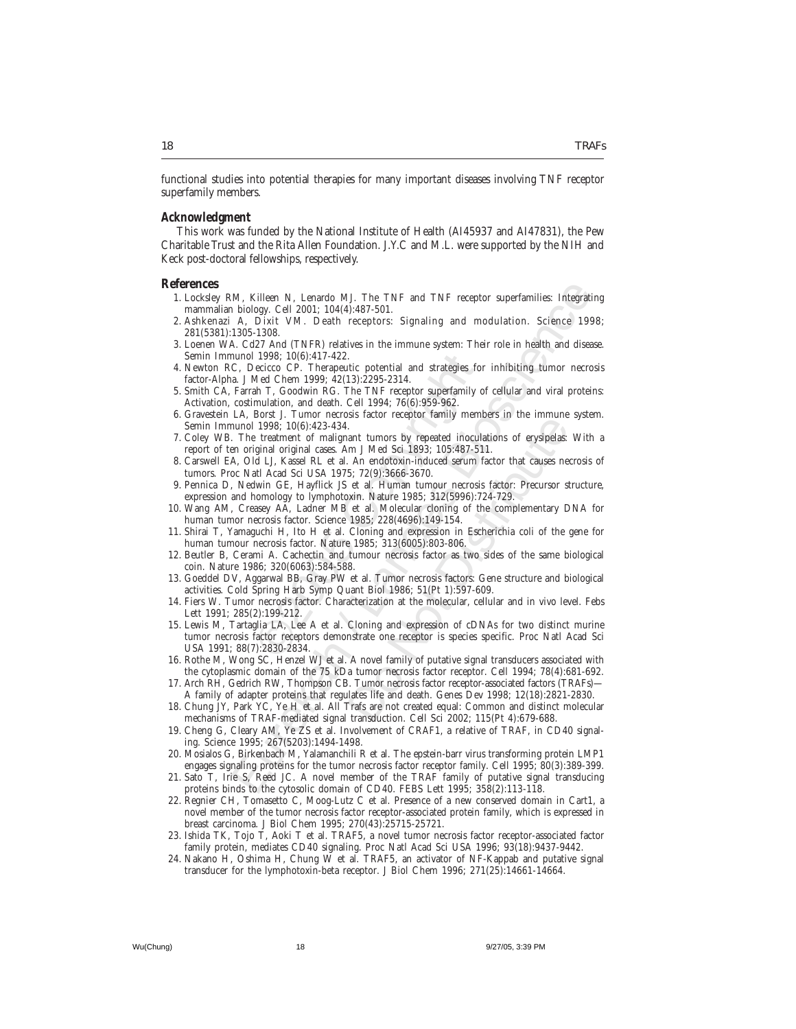functional studies into potential therapies for many important diseases involving TNF receptor superfamily members.

#### *Acknowledgment*

This work was funded by the National Institute of Health (AI45937 and AI47831), the Pew Charitable Trust and the Rita Allen Foundation. J.Y.C and M.L. were supported by the NIH and Keck post-doctoral fellowships, respectively.

### **References**

- 1. Locksley RM, Killeen N, Lenardo MJ. The TNF and TNF receptor superfamilies: Integrating mammalian biology. Cell 2001; 104(4):487-501.
- 2. Ashkenazi A, Dixit VM. Death receptors: Signaling and modulation. Science 1998; 281(5381):1305-1308.
- 3. Loenen WA. Cd27 And (TNFR) relatives in the immune system: Their role in health and disease. Semin Immunol 1998; 10(6):417-422.
- 4. Newton RC, Decicco CP. Therapeutic potential and strategies for inhibiting tumor necrosis factor-Alpha. J Med Chem 1999; 42(13):2295-2314.
- 5. Smith CA, Farrah T, Goodwin RG. The TNF receptor superfamily of cellular and viral proteins: Activation, costimulation, and death. Cell 1994; 76(6):959-962.
- 6. Gravestein LA, Borst J. Tumor necrosis factor receptor family members in the immune system. Semin Immunol 1998; 10(6):423-434.
- 7. Coley WB. The treatment of malignant tumors by repeated inoculations of erysipelas: With a report of ten original original cases. Am J Med Sci 1893; 105:487-511.
- 8. Carswell EA, Old LJ, Kassel RL et al. An endotoxin-induced serum factor that causes necrosis of tumors. Proc Natl Acad Sci USA 1975; 72(9):3666-3670.
- 9. Pennica D, Nedwin GE, Hayflick JS et al. Human tumour necrosis factor: Precursor structure, expression and homology to lymphotoxin. Nature 1985; 312(5996):724-729.
- 10. Wang AM, Creasey AA, Ladner MB et al. Molecular cloning of the complementary DNA for human tumor necrosis factor. Science 1985; 228(4696):149-154.
- 11. Shirai T, Yamaguchi H, Ito H et al. Cloning and expression in Escherichia coli of the gene for human tumour necrosis factor. Nature 1985; 313(6005):803-806.
- 12. Beutler B, Cerami A. Cachectin and tumour necrosis factor as two sides of the same biological coin. Nature 1986; 320(6063):584-588.
- 13. Goeddel DV, Aggarwal BB, Gray PW et al. Tumor necrosis factors: Gene structure and biological activities. Cold Spring Harb Symp Quant Biol 1986; 51(Pt 1):597-609.
- 14. Fiers W. Tumor necrosis factor. Characterization at the molecular, cellular and in vivo level. Febs Lett 1991; 285(2):199-212.
- 1998; 10(6):417-422.<br>
ecicco CP. Therapeutic potential and strategies 1<br>
Med Chem 1999; 42(13):2295-2314.<br>
Ah T, Goodwin RG. The TNF receptor superfamily<br>
mulation, and death. Cell 1994; 76(6):959-962.<br>
Borst J. Tumor nec M, Killeen N, Lenardo MJ. The TNF and TNF receptor superfamilies: Integration, Coll 2001; 104(4)-487-501.<br>
A bloidy, Cell 2001; 104(4)-487-501.<br>
A Dixti VM. Death receptors: Signaling and modulation. Science 194<br>
1305-130 and tumors by repeated inoculations of erysipelas:<br>
The mind tumors by repeated inoculations of erysipelas:<br>
The Medotoxin-induced serum factor that causes needs; 72(9):3666-3670.<br>
Et al. Human tumour necrosis factor: Prec 15. Lewis M, Tartaglia LA, Lee A et al. Cloning and expression of cDNAs for two distinct murine tumor necrosis factor receptors demonstrate one receptor is species specific. Proc Natl Acad Sci USA 1991; 88(7):2830-2834.
- 16. Rothe M, Wong SC, Henzel WJ et al. A novel family of putative signal transducers associated with the cytoplasmic domain of the 75 kDa tumor necrosis factor receptor. Cell 1994; 78(4):681-692.
- 17. Arch RH, Gedrich RW, Thompson CB. Tumor necrosis factor receptor-associated factors (TRAFs)— A family of adapter proteins that regulates life and death. Genes Dev 1998; 12(18):2821-2830.
- 18. Chung JY, Park YC, Ye H et al. All Trafs are not created equal: Common and distinct molecular mechanisms of TRAF-mediated signal transduction. Cell Sci 2002; 115(Pt 4):679-688.
- 19. Cheng G, Cleary AM, Ye ZS et al. Involvement of CRAF1, a relative of TRAF, in CD40 signaling. Science 1995; 267(5203):1494-1498.
- 20. Mosialos G, Birkenbach M, Yalamanchili R et al. The epstein-barr virus transforming protein LMP1 engages signaling proteins for the tumor necrosis factor receptor family. Cell 1995; 80(3):389-399.
- 21. Sato T, Irie S, Reed JC. A novel member of the TRAF family of putative signal transducing proteins binds to the cytosolic domain of CD40. FEBS Lett 1995; 358(2):113-118.
- 22. Regnier CH, Tomasetto C, Moog-Lutz C et al. Presence of a new conserved domain in Cart1, a novel member of the tumor necrosis factor receptor-associated protein family, which is expressed in breast carcinoma. J Biol Chem 1995; 270(43):25715-25721.
- 23. Ishida TK, Tojo T, Aoki T et al. TRAF5, a novel tumor necrosis factor receptor-associated factor family protein, mediates CD40 signaling. Proc Natl Acad Sci USA 1996; 93(18):9437-9442.
- 24. Nakano H, Oshima H, Chung W et al. TRAF5, an activator of NF-Kappab and putative signal transducer for the lymphotoxin-beta receptor. J Biol Chem 1996; 271(25):14661-14664.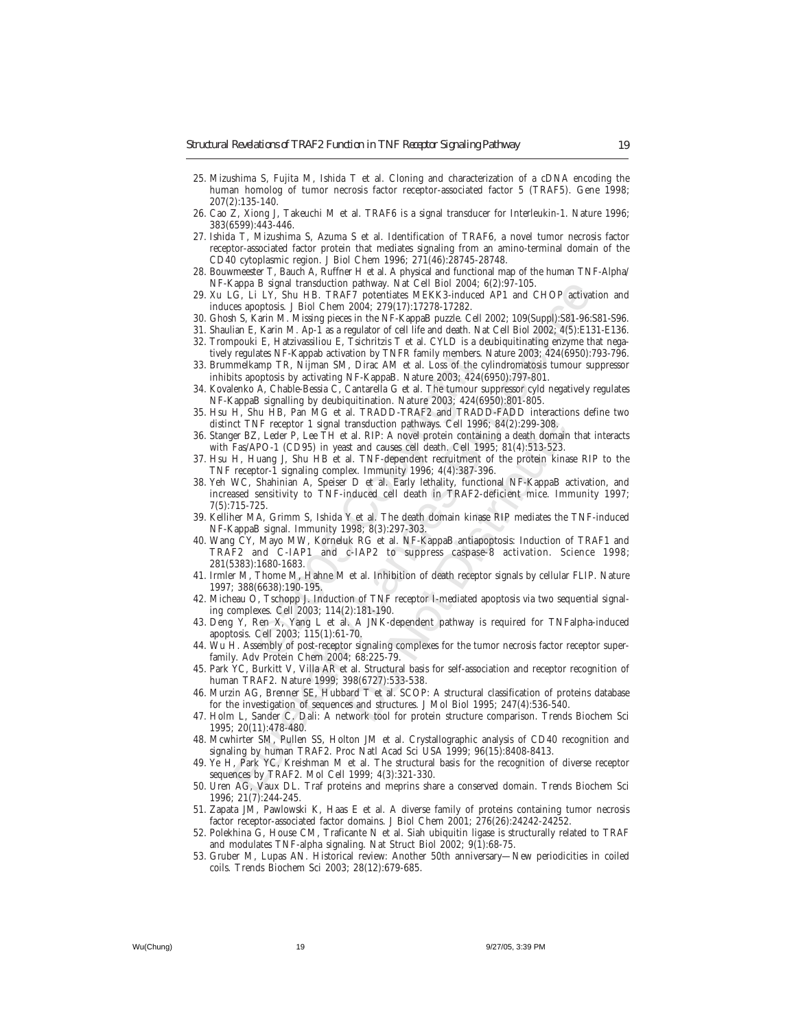- 25. Mizushima S, Fujita M, Ishida T et al. Cloning and characterization of a cDNA encoding the human homolog of tumor necrosis factor receptor-associated factor 5 (TRAF5). Gene 1998; 207(2):135-140.
- 26. Cao Z, Xiong J, Takeuchi M et al. TRAF6 is a signal transducer for Interleukin-1. Nature 1996; 383(6599):443-446.
- 27. Ishida T, Mizushima S, Azuma S et al. Identification of TRAF6, a novel tumor necrosis factor receptor-associated factor protein that mediates signaling from an amino-terminal domain of the CD40 cytoplasmic region. J Biol Chem 1996; 271(46):28745-28748.
- 28. Bouwmeester T, Bauch A, Ruffner H et al. A physical and functional map of the human TNF-Alpha/ NF-Kappa B signal transduction pathway. Nat Cell Biol 2004; 6(2):97-105.
- 29. Xu LG, Li LY, Shu HB. TRAF7 potentiates MEKK3-induced AP1 and CHOP activation and induces apoptosis. J Biol Chem 2004; 279(17):17278-17282.
- 30. Ghosh S, Karin M. Missing pieces in the NF-KappaB puzzle. Cell 2002; 109(Suppl):S81-96:S81-S96.
- 31. Shaulian E, Karin M. Ap-1 as a regulator of cell life and death. Nat Cell Biol 2002; 4(5):E131-E136. 32. Trompouki E, Hatzivassiliou E, Tsichritzis T et al. CYLD is a deubiquitinating enzyme that nega-
- tively regulates NF-Kappab activation by TNFR family members. Nature 2003; 424(6950):793-796. 33. Brummelkamp TR, Nijman SM, Dirac AM et al. Loss of the cylindromatosis tumour suppressor inhibits apoptosis by activating NF-KappaB. Nature 2003; 424(6950):797-801.
- 34. Kovalenko A, Chable-Bessia C, Cantarella G et al. The tumour suppressor cyld negatively regulates NF-KappaB signalling by deubiquitination. Nature 2003; 424(6950):801-805.
- 35. Hsu H, Shu HB, Pan MG et al. TRADD-TRAF2 and TRADD-FADD interactions define two distinct TNF receptor 1 signal transduction pathways. Cell 1996; 84(2):299-308.
- 36. Stanger BZ, Leder P, Lee TH et al. RIP: A novel protein containing a death domain that interacts with Fas/APO-1 (CD95) in yeast and causes cell death. Cell 1995; 81(4):513-523.
- 37. Hsu H, Huang J, Shu HB et al. TNF-dependent recruitment of the protein kinase RIP to the TNF receptor-1 signaling complex. Immunity 1996; 4(4):387-396.
- ates NF-Aappab activation by TNFK tamily member<br>amp TR, Nijman SM, Dirac AM et al. Loss of the<br>opptosis by activating NF-KappaB. Nature 2003; 424<br>A, Chable-Bessia C, Cantarella G et al. The tumou<br>B signalling by deubiquiti appa B signal translation pathway. Nat Celi Biot 2004; 6(239-1-05.<br>
G., Li EN; Shu HB. TRAFF potentialse MEKK3-induced AP1 and CHOP activa<br>
15. Karin M. Missing pieces in the NF-KappaB pazzle. Cell 2002: 109(Suppl):S81-86: ransduction pathways. Cell 1996; 84(2):299-308,<br>al. RIP: A novel protein containing a death domain<br>st and causes cell death. Cell 1995; 81(4):513-523.<br>al. TNF-dependent recruitment of the protein kinas<br>ex. Immunity 1996; 4 38. Yeh WC, Shahinian A, Speiser D et al. Early lethality, functional NF-KappaB activation, and increased sensitivity to TNF-induced cell death in TRAF2-deficient mice. Immunity 1997; 7(5):715-725.
- 39. Kelliher MA, Grimm S, Ishida Y et al. The death domain kinase RIP mediates the TNF-induced NF-KappaB signal. Immunity 1998; 8(3):297-303.
- 40. Wang CY, Mayo MW, Korneluk RG et al. NF-KappaB antiapoptosis: Induction of TRAF1 and TRAF2 and C-IAP1 and c-IAP2 to suppress caspase-8 activation. Science 1998; 281(5383):1680-1683.
- 41. Irmler M, Thome M, Hahne M et al. Inhibition of death receptor signals by cellular FLIP. Nature 1997; 388(6638):190-195.
- 42. Micheau O, Tschopp J. Induction of TNF receptor I-mediated apoptosis via two sequential signaling complexes. Cell 2003; 114(2):181-190.
- 43. Deng Y, Ren X, Yang L et al. A JNK-dependent pathway is required for TNFalpha-induced apoptosis. Cell 2003; 115(1):61-70.
- 44. Wu H. Assembly of post-receptor signaling complexes for the tumor necrosis factor receptor superfamily. Adv Protein Chem 2004; 68:225-79.
- 45. Park YC, Burkitt V, Villa AR et al. Structural basis for self-association and receptor recognition of human TRAF2. Nature 1999; 398(6727):533-538.
- 46. Murzin AG, Brenner SE, Hubbard T et al. SCOP: A structural classification of proteins database for the investigation of sequences and structures. J Mol Biol 1995; 247(4):536-540.
- 47. Holm L, Sander C. Dali: A network tool for protein structure comparison. Trends Biochem Sci 1995; 20(11):478-480.
- 48. Mcwhirter SM, Pullen SS, Holton JM et al. Crystallographic analysis of CD40 recognition and signaling by human TRAF2. Proc Natl Acad Sci USA 1999; 96(15):8408-8413.
- 49. Ye H, Park YC, Kreishman M et al. The structural basis for the recognition of diverse receptor sequences by TRAF2. Mol Cell 1999; 4(3):321-330.
- 50. Uren AG, Vaux DL. Traf proteins and meprins share a conserved domain. Trends Biochem Sci 1996; 21(7):244-245.
- 51. Zapata JM, Pawlowski K, Haas E et al. A diverse family of proteins containing tumor necrosis factor receptor-associated factor domains. J Biol Chem 2001; 276(26):24242-24252.
- 52. Polekhina G, House CM, Traficante N et al. Siah ubiquitin ligase is structurally related to TRAF and modulates TNF-alpha signaling. Nat Struct Biol 2002; 9(1):68-75.
- 53. Gruber M, Lupas AN. Historical review: Another 50th anniversary—New periodicities in coiled coils. Trends Biochem Sci 2003; 28(12):679-685.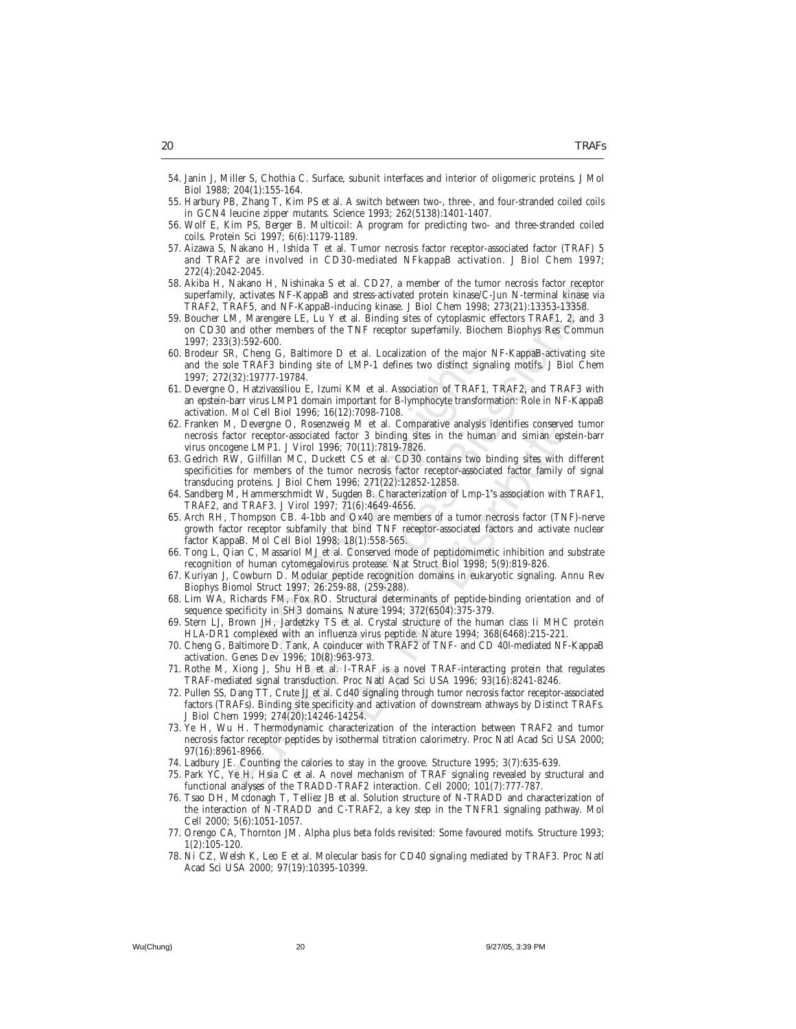- 54. Janin J, Miller S, Chothia C. Surface, subunit interfaces and interior of oligomeric proteins. J Mol Biol 1988; 204(1):155-164.
- 55. Harbury PB, Zhang T, Kim PS et al. A switch between two-, three-, and four-stranded coiled coils in GCN4 leucine zipper mutants. Science 1993; 262(5138):1401-1407.
- 56. Wolf E, Kim PS, Berger B. Multicoil: A program for predicting two- and three-stranded coiled coils. Protein Sci 1997; 6(6):1179-1189.
- 57. Aizawa S, Nakano H, Ishida T et al. Tumor necrosis factor receptor-associated factor (TRAF) 5 and TRAF2 are involved in CD30-mediated NFkappaB activation. J Biol Chem 1997; 272(4):2042-2045.
- 58. Akiba H, Nakano H, Nishinaka S et al. CD27, a member of the tumor necrosis factor receptor superfamily, activates NF-KappaB and stress-activated protein kinase/C-Jun N-terminal kinase via TRAF2, TRAF5, and NF-KappaB-inducing kinase. J Biol Chem 1998; 273(21):13353-13358.
- vakano FI, Nishnana S et al. CD2/, a member of the tumor nerosas factor receptors.<br>A activates NF-KappaB and stress-activated protein kinase C-Jun N-terminal kinase<br>ARAFS, and NF-KappaB-inducting kinase. JBiol Chem 1998; 2 59. Boucher LM, Marengere LE, Lu Y et al. Binding sites of cytoplasmic effectors TRAF1, 2, and 3 on CD30 and other members of the TNF receptor superfamily. Biochem Biophys Res Commun 1997; 233(3):592-600.
- 60. Brodeur SR, Cheng G, Baltimore D et al. Localization of the major NF-KappaB-activating site and the sole TRAF3 binding site of LMP-1 defines two distinct signaling motifs. J Biol Chem 1997; 272(32):19777-19784.
- 61. Devergne O, Hatzivassiliou E, Izumi KM et al. Association of TRAF1, TRAF2, and TRAF3 with an epstein-barr virus LMP1 domain important for B-lymphocyte transformation: Role in NF-KappaB activation. Mol Cell Biol 1996; 16(12):7098-7108.
- eng G, Battimore D et al. Localization of the ma<br>
24777-19784.<br>
9777-19784.<br>
178784.<br>
178784.<br>
178784.<br>
17977-19784.<br>
17977-19784.<br>
17977-19784.<br>
17977-19784.<br>
17981 Comparative for 3 binding site of LMP-1 defines two dist g M et al. Comparative analysis identifies conserved<br>tor 3 binding sites in the human and simian epst<br>70(11):7819-7826.<br>CS et al. CD30 contains two binding sites with  $\sqrt{96}$ <br>10. The records factor receptor-associated fac 62. Franken M, Devergne O, Rosenzweig M et al. Comparative analysis identifies conserved tumor necrosis factor receptor-associated factor 3 binding sites in the human and simian epstein-barr virus oncogene LMP1. J Virol 1996; 70(11):7819-7826.
- 63. Gedrich RW, Gilfillan MC, Duckett CS et al. CD30 contains two binding sites with different specificities for members of the tumor necrosis factor receptor-associated factor family of signal transducing proteins. J Biol Chem 1996; 271(22):12852-12858.
- 64. Sandberg M, Hammerschmidt W, Sugden B. Characterization of Lmp-1's association with TRAF1, TRAF2, and TRAF3. J Virol 1997; 71(6):4649-4656.
- 65. Arch RH, Thompson CB. 4-1bb and Ox40 are members of a tumor necrosis factor (TNF)-nerve growth factor receptor subfamily that bind TNF receptor-associated factors and activate nuclear factor KappaB. Mol Cell Biol 1998; 18(1):558-565.
- 66. Tong L, Qian C, Massariol MJ et al. Conserved mode of peptidomimetic inhibition and substrate recognition of human cytomegalovirus protease. Nat Struct Biol 1998; 5(9):819-826.
- 67. Kuriyan J, Cowburn D. Modular peptide recognition domains in eukaryotic signaling. Annu Rev Biophys Biomol Struct 1997; 26:259-88, (259-288).
- 68. Lim WA, Richards FM, Fox RO. Structural determinants of peptide-binding orientation and of sequence specificity in SH3 domains. Nature 1994; 372(6504):375-379.
- 69. Stern LJ, Brown JH, Jardetzky TS et al. Crystal structure of the human class Ii MHC protein HLA-DR1 complexed with an influenza virus peptide. Nature 1994; 368(6468):215-221.
- 70. Cheng G, Baltimore D. Tank, A coinducer with TRAF2 of TNF- and CD 40l-mediated NF-KappaB activation. Genes Dev 1996; 10(8):963-973.
- 71. Rothe M, Xiong J, Shu HB et al. I-TRAF is a novel TRAF-interacting protein that regulates TRAF-mediated signal transduction. Proc Natl Acad Sci USA 1996; 93(16):8241-8246.
- 72. Pullen SS, Dang TT, Crute JJ et al. Cd40 signaling through tumor necrosis factor receptor-associated factors (TRAFs). Binding site specificity and activation of downstream athways by Distinct TRAFs. J Biol Chem 1999; 274(20):14246-14254.
- 73. Ye H, Wu H. Thermodynamic characterization of the interaction between TRAF2 and tumor necrosis factor receptor peptides by isothermal titration calorimetry. Proc Natl Acad Sci USA 2000; 97(16):8961-8966.
- 74. Ladbury JE. Counting the calories to stay in the groove. Structure 1995; 3(7):635-639.
- 75. Park YC, Ye H, Hsia C et al. A novel mechanism of TRAF signaling revealed by structural and functional analyses of the TRADD-TRAF2 interaction. Cell 2000; 101(7):777-787.
- 76. Tsao DH, Mcdonagh T, Telliez JB et al. Solution structure of N-TRADD and characterization of the interaction of N-TRADD and C-TRAF2, a key step in the TNFR1 signaling pathway. Mol Cell 2000; 5(6):1051-1057.
- 77. Orengo CA, Thornton JM. Alpha plus beta folds revisited: Some favoured motifs. Structure 1993; 1(2):105-120.
- 78. Ni CZ, Welsh K, Leo E et al. Molecular basis for CD40 signaling mediated by TRAF3. Proc Natl Acad Sci USA 2000; 97(19):10395-10399.